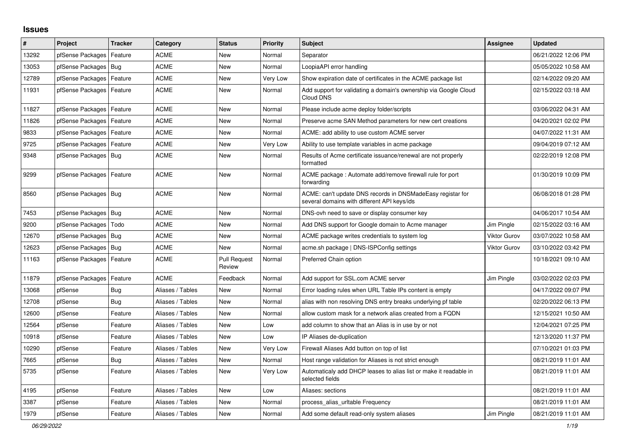## **Issues**

| #     | Project                | <b>Tracker</b> | Category         | <b>Status</b>                 | <b>Priority</b> | <b>Subject</b>                                                                                            | <b>Assignee</b>     | <b>Updated</b>      |
|-------|------------------------|----------------|------------------|-------------------------------|-----------------|-----------------------------------------------------------------------------------------------------------|---------------------|---------------------|
| 13292 | pfSense Packages       | Feature        | ACME             | <b>New</b>                    | Normal          | Separator                                                                                                 |                     | 06/21/2022 12:06 PM |
| 13053 | pfSense Packages       | Bug            | <b>ACME</b>      | <b>New</b>                    | Normal          | LoopiaAPI error handling                                                                                  |                     | 05/05/2022 10:58 AM |
| 12789 | pfSense Packages       | Feature        | ACME             | <b>New</b>                    | Very Low        | Show expiration date of certificates in the ACME package list                                             |                     | 02/14/2022 09:20 AM |
| 11931 | pfSense Packages       | Feature        | <b>ACME</b>      | New                           | Normal          | Add support for validating a domain's ownership via Google Cloud<br>Cloud DNS                             |                     | 02/15/2022 03:18 AM |
| 11827 | pfSense Packages       | Feature        | <b>ACME</b>      | <b>New</b>                    | Normal          | Please include acme deploy folder/scripts                                                                 |                     | 03/06/2022 04:31 AM |
| 11826 | pfSense Packages       | Feature        | ACME             | <b>New</b>                    | Normal          | Preserve acme SAN Method parameters for new cert creations                                                |                     | 04/20/2021 02:02 PM |
| 9833  | pfSense Packages       | Feature        | <b>ACME</b>      | New                           | Normal          | ACME: add ability to use custom ACME server                                                               |                     | 04/07/2022 11:31 AM |
| 9725  | pfSense Packages       | Feature        | <b>ACME</b>      | New                           | Very Low        | Ability to use template variables in acme package                                                         |                     | 09/04/2019 07:12 AM |
| 9348  | pfSense Packages   Bug |                | <b>ACME</b>      | New                           | Normal          | Results of Acme certificate issuance/renewal are not properly<br>formatted                                |                     | 02/22/2019 12:08 PM |
| 9299  | pfSense Packages       | Feature        | <b>ACME</b>      | <b>New</b>                    | Normal          | ACME package: Automate add/remove firewall rule for port<br>forwarding                                    |                     | 01/30/2019 10:09 PM |
| 8560  | pfSense Packages       | Bug            | <b>ACME</b>      | <b>New</b>                    | Normal          | ACME: can't update DNS records in DNSMadeEasy registar for<br>several domains with different API keys/ids |                     | 06/08/2018 01:28 PM |
| 7453  | pfSense Packages       | Bug            | <b>ACME</b>      | <b>New</b>                    | Normal          | DNS-ovh need to save or display consumer key                                                              |                     | 04/06/2017 10:54 AM |
| 9200  | pfSense Packages       | Todo           | <b>ACME</b>      | <b>New</b>                    | Normal          | Add DNS support for Google domain to Acme manager                                                         | Jim Pingle          | 02/15/2022 03:16 AM |
| 12670 | pfSense Packages       | Bug            | <b>ACME</b>      | <b>New</b>                    | Normal          | ACME package writes credentials to system log                                                             | <b>Viktor Gurov</b> | 03/07/2022 10:58 AM |
| 12623 | pfSense Packages       | Bug            | <b>ACME</b>      | <b>New</b>                    | Normal          | acme.sh package   DNS-ISPConfig settings                                                                  | <b>Viktor Gurov</b> | 03/10/2022 03:42 PM |
| 11163 | pfSense Packages       | Feature        | ACME             | <b>Pull Request</b><br>Review | Normal          | Preferred Chain option                                                                                    |                     | 10/18/2021 09:10 AM |
| 11879 | pfSense Packages       | Feature        | ACME             | Feedback                      | Normal          | Add support for SSL.com ACME server                                                                       | Jim Pingle          | 03/02/2022 02:03 PM |
| 13068 | pfSense                | <b>Bug</b>     | Aliases / Tables | <b>New</b>                    | Normal          | Error loading rules when URL Table IPs content is empty                                                   |                     | 04/17/2022 09:07 PM |
| 12708 | pfSense                | <b>Bug</b>     | Aliases / Tables | <b>New</b>                    | Normal          | alias with non resolving DNS entry breaks underlying pf table                                             |                     | 02/20/2022 06:13 PM |
| 12600 | pfSense                | Feature        | Aliases / Tables | <b>New</b>                    | Normal          | allow custom mask for a network alias created from a FQDN                                                 |                     | 12/15/2021 10:50 AM |
| 12564 | pfSense                | Feature        | Aliases / Tables | <b>New</b>                    | Low             | add column to show that an Alias is in use by or not                                                      |                     | 12/04/2021 07:25 PM |
| 10918 | pfSense                | Feature        | Aliases / Tables | <b>New</b>                    | Low             | IP Aliases de-duplication                                                                                 |                     | 12/13/2020 11:37 PM |
| 10290 | pfSense                | Feature        | Aliases / Tables | <b>New</b>                    | Very Low        | Firewall Aliases Add button on top of list                                                                |                     | 07/10/2021 01:03 PM |
| 7665  | pfSense                | <b>Bug</b>     | Aliases / Tables | <b>New</b>                    | Normal          | Host range validation for Aliases is not strict enough                                                    |                     | 08/21/2019 11:01 AM |
| 5735  | pfSense                | Feature        | Aliases / Tables | <b>New</b>                    | Very Low        | Automaticaly add DHCP leases to alias list or make it readable in<br>selected fields                      |                     | 08/21/2019 11:01 AM |
| 4195  | pfSense                | Feature        | Aliases / Tables | New                           | Low             | Aliases: sections                                                                                         |                     | 08/21/2019 11:01 AM |
| 3387  | pfSense                | Feature        | Aliases / Tables | <b>New</b>                    | Normal          | process alias urltable Frequency                                                                          |                     | 08/21/2019 11:01 AM |
| 1979  | pfSense                | Feature        | Aliases / Tables | <b>New</b>                    | Normal          | Add some default read-only system aliases                                                                 | Jim Pingle          | 08/21/2019 11:01 AM |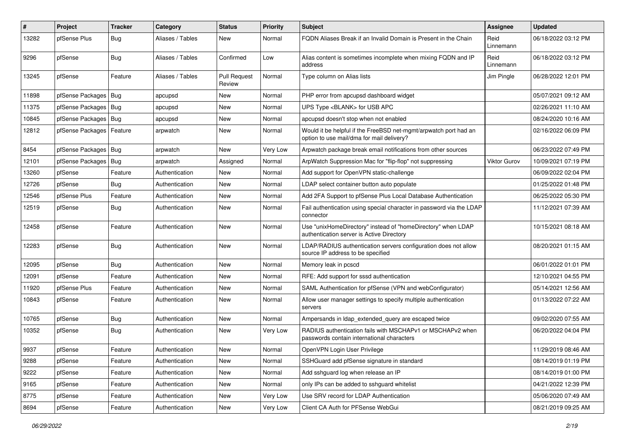| $\vert$ # | Project                    | <b>Tracker</b> | Category         | <b>Status</b>                 | <b>Priority</b> | Subject                                                                                                       | Assignee          | <b>Updated</b>      |
|-----------|----------------------------|----------------|------------------|-------------------------------|-----------------|---------------------------------------------------------------------------------------------------------------|-------------------|---------------------|
| 13282     | pfSense Plus               | <b>Bug</b>     | Aliases / Tables | <b>New</b>                    | Normal          | FQDN Aliases Break if an Invalid Domain is Present in the Chain                                               | Reid<br>Linnemann | 06/18/2022 03:12 PM |
| 9296      | pfSense                    | Bug            | Aliases / Tables | Confirmed                     | Low             | Alias content is sometimes incomplete when mixing FQDN and IP<br>address                                      | Reid<br>Linnemann | 06/18/2022 03:12 PM |
| 13245     | pfSense                    | Feature        | Aliases / Tables | <b>Pull Request</b><br>Review | Normal          | Type column on Alias lists                                                                                    | Jim Pingle        | 06/28/2022 12:01 PM |
| 11898     | pfSense Packages   Bug     |                | apcupsd          | New                           | Normal          | PHP error from apcupsd dashboard widget                                                                       |                   | 05/07/2021 09:12 AM |
| 11375     | pfSense Packages           | Bug            | apcupsd          | <b>New</b>                    | Normal          | UPS Type <blank> for USB APC</blank>                                                                          |                   | 02/26/2021 11:10 AM |
| 10845     | pfSense Packages   Bug     |                | apcupsd          | <b>New</b>                    | Normal          | apcupsd doesn't stop when not enabled                                                                         |                   | 08/24/2020 10:16 AM |
| 12812     | pfSense Packages   Feature |                | arpwatch         | <b>New</b>                    | Normal          | Would it be helpful if the FreeBSD net-mgmt/arpwatch port had an<br>option to use mail/dma for mail delivery? |                   | 02/16/2022 06:09 PM |
| 8454      | pfSense Packages   Bug     |                | arpwatch         | New                           | Very Low        | Arpwatch package break email notifications from other sources                                                 |                   | 06/23/2022 07:49 PM |
| 12101     | pfSense Packages           | <b>Bug</b>     | arpwatch         | Assigned                      | Normal          | ArpWatch Suppression Mac for "flip-flop" not suppressing                                                      | Viktor Gurov      | 10/09/2021 07:19 PM |
| 13260     | pfSense                    | Feature        | Authentication   | New                           | Normal          | Add support for OpenVPN static-challenge                                                                      |                   | 06/09/2022 02:04 PM |
| 12726     | pfSense                    | Bug            | Authentication   | New                           | Normal          | LDAP select container button auto populate                                                                    |                   | 01/25/2022 01:48 PM |
| 12546     | pfSense Plus               | Feature        | Authentication   | New                           | Normal          | Add 2FA Support to pfSense Plus Local Database Authentication                                                 |                   | 06/25/2022 05:30 PM |
| 12519     | pfSense                    | <b>Bug</b>     | Authentication   | <b>New</b>                    | Normal          | Fail authentication using special character in password via the LDAP<br>connector                             |                   | 11/12/2021 07:39 AM |
| 12458     | pfSense                    | Feature        | Authentication   | New                           | Normal          | Use "unixHomeDirectory" instead of "homeDirectory" when LDAP<br>authentication server is Active Directory     |                   | 10/15/2021 08:18 AM |
| 12283     | pfSense                    | <b>Bug</b>     | Authentication   | <b>New</b>                    | Normal          | LDAP/RADIUS authentication servers configuration does not allow<br>source IP address to be specified          |                   | 08/20/2021 01:15 AM |
| 12095     | pfSense                    | <b>Bug</b>     | Authentication   | <b>New</b>                    | Normal          | Memory leak in pcscd                                                                                          |                   | 06/01/2022 01:01 PM |
| 12091     | pfSense                    | Feature        | Authentication   | New                           | Normal          | RFE: Add support for sssd authentication                                                                      |                   | 12/10/2021 04:55 PM |
| 11920     | pfSense Plus               | Feature        | Authentication   | <b>New</b>                    | Normal          | SAML Authentication for pfSense (VPN and webConfigurator)                                                     |                   | 05/14/2021 12:56 AM |
| 10843     | pfSense                    | Feature        | Authentication   | New                           | Normal          | Allow user manager settings to specify multiple authentication<br>servers                                     |                   | 01/13/2022 07:22 AM |
| 10765     | pfSense                    | <b>Bug</b>     | Authentication   | <b>New</b>                    | Normal          | Ampersands in Idap_extended_query are escaped twice                                                           |                   | 09/02/2020 07:55 AM |
| 10352     | pfSense                    | Bug            | Authentication   | New                           | Very Low        | RADIUS authentication fails with MSCHAPv1 or MSCHAPv2 when<br>passwords contain international characters      |                   | 06/20/2022 04:04 PM |
| 9937      | pfSense                    | Feature        | Authentication   | New                           | Normal          | OpenVPN Login User Privilege                                                                                  |                   | 11/29/2019 08:46 AM |
| 9288      | pfSense                    | Feature        | Authentication   | New                           | Normal          | SSHGuard add pfSense signature in standard                                                                    |                   | 08/14/2019 01:19 PM |
| 9222      | pfSense                    | Feature        | Authentication   | New                           | Normal          | Add sshguard log when release an IP                                                                           |                   | 08/14/2019 01:00 PM |
| 9165      | pfSense                    | Feature        | Authentication   | New                           | Normal          | only IPs can be added to sshguard whitelist                                                                   |                   | 04/21/2022 12:39 PM |
| 8775      | pfSense                    | Feature        | Authentication   | New                           | Very Low        | Use SRV record for LDAP Authentication                                                                        |                   | 05/06/2020 07:49 AM |
| 8694      | pfSense                    | Feature        | Authentication   | New                           | Very Low        | Client CA Auth for PFSense WebGui                                                                             |                   | 08/21/2019 09:25 AM |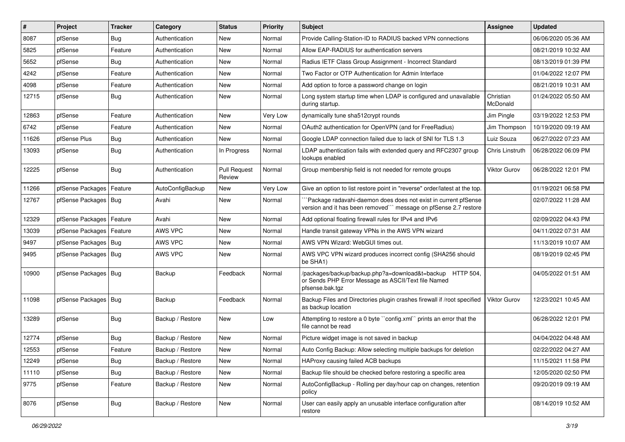| $\pmb{\sharp}$ | Project                | <b>Tracker</b> | Category         | <b>Status</b>          | <b>Priority</b> | Subject                                                                                                                             | Assignee              | <b>Updated</b>      |
|----------------|------------------------|----------------|------------------|------------------------|-----------------|-------------------------------------------------------------------------------------------------------------------------------------|-----------------------|---------------------|
| 8087           | pfSense                | <b>Bug</b>     | Authentication   | <b>New</b>             | Normal          | Provide Calling-Station-ID to RADIUS backed VPN connections                                                                         |                       | 06/06/2020 05:36 AM |
| 5825           | pfSense                | Feature        | Authentication   | <b>New</b>             | Normal          | Allow EAP-RADIUS for authentication servers                                                                                         |                       | 08/21/2019 10:32 AM |
| 5652           | pfSense                | Bug            | Authentication   | New                    | Normal          | Radius IETF Class Group Assignment - Incorrect Standard                                                                             |                       | 08/13/2019 01:39 PM |
| 4242           | pfSense                | Feature        | Authentication   | <b>New</b>             | Normal          | Two Factor or OTP Authentication for Admin Interface                                                                                |                       | 01/04/2022 12:07 PM |
| 4098           | pfSense                | Feature        | Authentication   | <b>New</b>             | Normal          | Add option to force a password change on login                                                                                      |                       | 08/21/2019 10:31 AM |
| 12715          | pfSense                | Bug            | Authentication   | <b>New</b>             | Normal          | Long system startup time when LDAP is configured and unavailable<br>during startup.                                                 | Christian<br>McDonald | 01/24/2022 05:50 AM |
| 12863          | pfSense                | Feature        | Authentication   | <b>New</b>             | Very Low        | dynamically tune sha512crypt rounds                                                                                                 | Jim Pingle            | 03/19/2022 12:53 PM |
| 6742           | pfSense                | Feature        | Authentication   | <b>New</b>             | Normal          | OAuth2 authentication for OpenVPN (and for FreeRadius)                                                                              | Jim Thompson          | 10/19/2020 09:19 AM |
| 11626          | pfSense Plus           | Bug            | Authentication   | <b>New</b>             | Normal          | Google LDAP connection failed due to lack of SNI for TLS 1.3                                                                        | Luiz Souza            | 06/27/2022 07:23 AM |
| 13093          | pfSense                | Bug            | Authentication   | In Progress            | Normal          | LDAP authentication fails with extended query and RFC2307 group<br>lookups enabled                                                  | Chris Linstruth       | 06/28/2022 06:09 PM |
| 12225          | pfSense                | Bug            | Authentication   | Pull Request<br>Review | Normal          | Group membership field is not needed for remote groups                                                                              | <b>Viktor Gurov</b>   | 06/28/2022 12:01 PM |
| 11266          | pfSense Packages       | Feature        | AutoConfigBackup | <b>New</b>             | Very Low        | Give an option to list restore point in "reverse" order/latest at the top.                                                          |                       | 01/19/2021 06:58 PM |
| 12767          | pfSense Packages   Bug |                | Avahi            | <b>New</b>             | Normal          | `Package radavahi-daemon does does not exist in current pfSense<br>version and it has been removed"" message on pfSense 2.7 restore |                       | 02/07/2022 11:28 AM |
| 12329          | pfSense Packages       | Feature        | Avahi            | <b>New</b>             | Normal          | Add optional floating firewall rules for IPv4 and IPv6                                                                              |                       | 02/09/2022 04:43 PM |
| 13039          | pfSense Packages       | Feature        | AWS VPC          | <b>New</b>             | Normal          | Handle transit gateway VPNs in the AWS VPN wizard                                                                                   |                       | 04/11/2022 07:31 AM |
| 9497           | pfSense Packages   Bug |                | AWS VPC          | <b>New</b>             | Normal          | AWS VPN Wizard: WebGUI times out.                                                                                                   |                       | 11/13/2019 10:07 AM |
| 9495           | pfSense Packages   Bug |                | AWS VPC          | <b>New</b>             | Normal          | AWS VPC VPN wizard produces incorrect config (SHA256 should<br>be SHA1)                                                             |                       | 08/19/2019 02:45 PM |
| 10900          | pfSense Packages   Bug |                | Backup           | Feedback               | Normal          | /packages/backup/backup.php?a=download&t=backup HTTP 504,<br>or Sends PHP Error Message as ASCII/Text file Named<br>pfsense.bak.tgz |                       | 04/05/2022 01:51 AM |
| 11098          | pfSense Packages   Bug |                | Backup           | Feedback               | Normal          | Backup Files and Directories plugin crashes firewall if /root specified<br>as backup location                                       | <b>Viktor Gurov</b>   | 12/23/2021 10:45 AM |
| 13289          | pfSense                | Bug            | Backup / Restore | <b>New</b>             | Low             | Attempting to restore a 0 byte "config.xml" prints an error that the<br>file cannot be read                                         |                       | 06/28/2022 12:01 PM |
| 12774          | pfSense                | Bug            | Backup / Restore | <b>New</b>             | Normal          | Picture widget image is not saved in backup                                                                                         |                       | 04/04/2022 04:48 AM |
| 12553          | pfSense                | Feature        | Backup / Restore | New                    | Normal          | Auto Config Backup: Allow selecting multiple backups for deletion                                                                   |                       | 02/22/2022 04:27 AM |
| 12249          | pfSense                | <b>Bug</b>     | Backup / Restore | New                    | Normal          | HAProxy causing failed ACB backups                                                                                                  |                       | 11/15/2021 11:58 PM |
| 11110          | pfSense                | Bug            | Backup / Restore | New                    | Normal          | Backup file should be checked before restoring a specific area                                                                      |                       | 12/05/2020 02:50 PM |
| 9775           | pfSense                | Feature        | Backup / Restore | New                    | Normal          | AutoConfigBackup - Rolling per day/hour cap on changes, retention<br>policy                                                         |                       | 09/20/2019 09:19 AM |
| 8076           | pfSense                | <b>Bug</b>     | Backup / Restore | New                    | Normal          | User can easily apply an unusable interface configuration after<br>restore                                                          |                       | 08/14/2019 10:52 AM |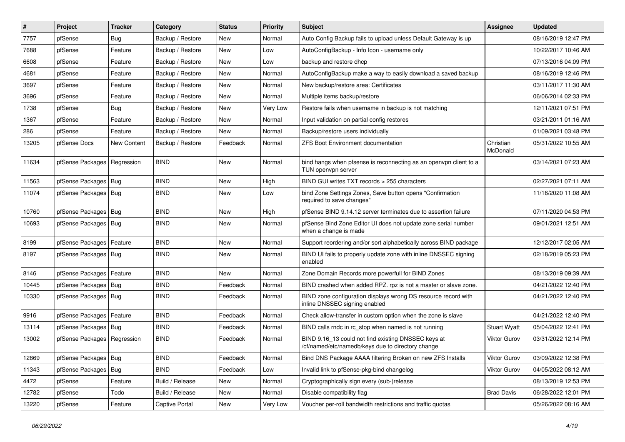| $\vert$ # | Project                       | <b>Tracker</b> | Category         | <b>Status</b> | <b>Priority</b> | Subject                                                                                                  | Assignee              | <b>Updated</b>      |
|-----------|-------------------------------|----------------|------------------|---------------|-----------------|----------------------------------------------------------------------------------------------------------|-----------------------|---------------------|
| 7757      | pfSense                       | Bug            | Backup / Restore | New           | Normal          | Auto Config Backup fails to upload unless Default Gateway is up                                          |                       | 08/16/2019 12:47 PM |
| 7688      | pfSense                       | Feature        | Backup / Restore | <b>New</b>    | Low             | AutoConfigBackup - Info Icon - username only                                                             |                       | 10/22/2017 10:46 AM |
| 6608      | pfSense                       | Feature        | Backup / Restore | New           | Low             | backup and restore dhcp                                                                                  |                       | 07/13/2016 04:09 PM |
| 4681      | pfSense                       | Feature        | Backup / Restore | <b>New</b>    | Normal          | AutoConfigBackup make a way to easily download a saved backup                                            |                       | 08/16/2019 12:46 PM |
| 3697      | pfSense                       | Feature        | Backup / Restore | <b>New</b>    | Normal          | New backup/restore area: Certificates                                                                    |                       | 03/11/2017 11:30 AM |
| 3696      | pfSense                       | Feature        | Backup / Restore | <b>New</b>    | Normal          | Multiple items backup/restore                                                                            |                       | 06/06/2014 02:33 PM |
| 1738      | pfSense                       | Bug            | Backup / Restore | New           | Very Low        | Restore fails when username in backup is not matching                                                    |                       | 12/11/2021 07:51 PM |
| 1367      | pfSense                       | Feature        | Backup / Restore | New           | Normal          | Input validation on partial config restores                                                              |                       | 03/21/2011 01:16 AM |
| 286       | pfSense                       | Feature        | Backup / Restore | <b>New</b>    | Normal          | Backup/restore users individually                                                                        |                       | 01/09/2021 03:48 PM |
| 13205     | pfSense Docs                  | New Content    | Backup / Restore | Feedback      | Normal          | <b>ZFS Boot Environment documentation</b>                                                                | Christian<br>McDonald | 05/31/2022 10:55 AM |
| 11634     | pfSense Packages   Regression |                | <b>BIND</b>      | <b>New</b>    | Normal          | bind hangs when pfsense is reconnecting as an openvpn client to a<br>TUN openvpn server                  |                       | 03/14/2021 07:23 AM |
| 11563     | pfSense Packages   Bug        |                | <b>BIND</b>      | <b>New</b>    | High            | BIND GUI writes TXT records > 255 characters                                                             |                       | 02/27/2021 07:11 AM |
| 11074     | pfSense Packages   Bug        |                | <b>BIND</b>      | New           | Low             | bind Zone Settings Zones, Save button opens "Confirmation<br>required to save changes"                   |                       | 11/16/2020 11:08 AM |
| 10760     | pfSense Packages   Bug        |                | <b>BIND</b>      | New           | High            | pfSense BIND 9.14.12 server terminates due to assertion failure                                          |                       | 07/11/2020 04:53 PM |
| 10693     | pfSense Packages   Bug        |                | <b>BIND</b>      | <b>New</b>    | Normal          | pfSense Bind Zone Editor UI does not update zone serial number<br>when a change is made                  |                       | 09/01/2021 12:51 AM |
| 8199      | pfSense Packages   Feature    |                | <b>BIND</b>      | <b>New</b>    | Normal          | Support reordering and/or sort alphabetically across BIND package                                        |                       | 12/12/2017 02:05 AM |
| 8197      | pfSense Packages   Bug        |                | <b>BIND</b>      | New           | Normal          | BIND UI fails to properly update zone with inline DNSSEC signing<br>enabled                              |                       | 02/18/2019 05:23 PM |
| 8146      | pfSense Packages   Feature    |                | <b>BIND</b>      | New           | Normal          | Zone Domain Records more powerfull for BIND Zones                                                        |                       | 08/13/2019 09:39 AM |
| 10445     | pfSense Packages   Bug        |                | <b>BIND</b>      | Feedback      | Normal          | BIND crashed when added RPZ. rpz is not a master or slave zone.                                          |                       | 04/21/2022 12:40 PM |
| 10330     | pfSense Packages   Bug        |                | <b>BIND</b>      | Feedback      | Normal          | BIND zone configuration displays wrong DS resource record with<br>inline DNSSEC signing enabled          |                       | 04/21/2022 12:40 PM |
| 9916      | pfSense Packages   Feature    |                | <b>BIND</b>      | Feedback      | Normal          | Check allow-transfer in custom option when the zone is slave                                             |                       | 04/21/2022 12:40 PM |
| 13114     | pfSense Packages   Bug        |                | <b>BIND</b>      | Feedback      | Normal          | BIND calls rndc in rc_stop when named is not running                                                     | <b>Stuart Wyatt</b>   | 05/04/2022 12:41 PM |
| 13002     | pfSense Packages   Regression |                | <b>BIND</b>      | Feedback      | Normal          | BIND 9.16_13 could not find existing DNSSEC keys at<br>/cf/named/etc/namedb/keys due to directory change | <b>Viktor Gurov</b>   | 03/31/2022 12:14 PM |
| 12869     | pfSense Packages   Bug        |                | <b>BIND</b>      | Feedback      | Normal          | Bind DNS Package AAAA filtering Broken on new ZFS Installs                                               | Viktor Gurov          | 03/09/2022 12:38 PM |
| 11343     | pfSense Packages              | Bug            | <b>BIND</b>      | Feedback      | Low             | Invalid link to pfSense-pkg-bind changelog                                                               | Viktor Gurov          | 04/05/2022 08:12 AM |
| 4472      | pfSense                       | Feature        | Build / Release  | New           | Normal          | Cryptographically sign every (sub-)release                                                               |                       | 08/13/2019 12:53 PM |
| 12782     | pfSense                       | Todo           | Build / Release  | New           | Normal          | Disable compatibility flag                                                                               | <b>Brad Davis</b>     | 06/28/2022 12:01 PM |
| 13220     | pfSense                       | Feature        | Captive Portal   | New           | Very Low        | Voucher per-roll bandwidth restrictions and traffic quotas                                               |                       | 05/26/2022 08:16 AM |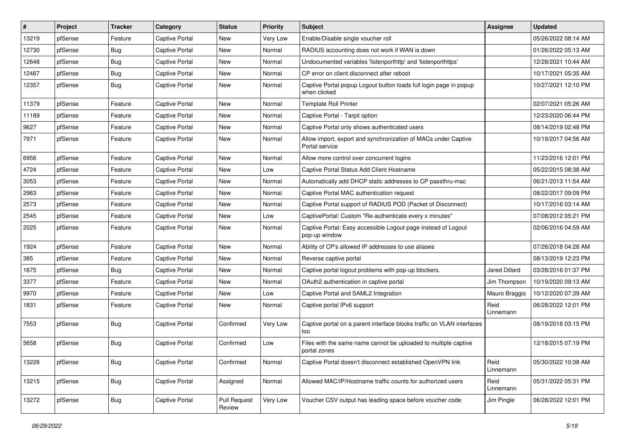| $\vert$ # | Project | <b>Tracker</b> | Category              | <b>Status</b>                 | <b>Priority</b> | Subject                                                                           | <b>Assignee</b>   | <b>Updated</b>      |
|-----------|---------|----------------|-----------------------|-------------------------------|-----------------|-----------------------------------------------------------------------------------|-------------------|---------------------|
| 13219     | pfSense | Feature        | <b>Captive Portal</b> | New                           | Very Low        | Enable/Disable single voucher roll                                                |                   | 05/26/2022 08:14 AM |
| 12730     | pfSense | Bug            | <b>Captive Portal</b> | New                           | Normal          | RADIUS accounting does not work if WAN is down                                    |                   | 01/26/2022 05:13 AM |
| 12648     | pfSense | <b>Bug</b>     | <b>Captive Portal</b> | New                           | Normal          | Undocumented variables 'listenporthttp' and 'listenporthttps'                     |                   | 12/28/2021 10:44 AM |
| 12467     | pfSense | <b>Bug</b>     | <b>Captive Portal</b> | New                           | Normal          | CP error on client disconnect after reboot                                        |                   | 10/17/2021 05:35 AM |
| 12357     | pfSense | Bug            | <b>Captive Portal</b> | New                           | Normal          | Captive Portal popup Logout button loads full login page in popup<br>when clicked |                   | 10/27/2021 12:10 PM |
| 11379     | pfSense | Feature        | Captive Portal        | New                           | Normal          | <b>Template Roll Printer</b>                                                      |                   | 02/07/2021 05:26 AM |
| 11189     | pfSense | Feature        | <b>Captive Portal</b> | New                           | Normal          | Captive Portal - Tarpit option                                                    |                   | 12/23/2020 06:44 PM |
| 9627      | pfSense | Feature        | <b>Captive Portal</b> | New                           | Normal          | Captive Portal only shows authenticated users                                     |                   | 08/14/2019 02:48 PM |
| 7971      | pfSense | Feature        | <b>Captive Portal</b> | New                           | Normal          | Allow import, export and synchronization of MACs under Captive<br>Portal service  |                   | 10/19/2017 04:56 AM |
| 6956      | pfSense | Feature        | Captive Portal        | New                           | Normal          | Allow more control over concurrent logins                                         |                   | 11/23/2016 12:01 PM |
| 4724      | pfSense | Feature        | <b>Captive Portal</b> | New                           | Low             | Captive Portal Status Add Client Hostname                                         |                   | 05/22/2015 08:38 AM |
| 3053      | pfSense | Feature        | <b>Captive Portal</b> | New                           | Normal          | Automatically add DHCP static addresses to CP passthru-mac                        |                   | 06/21/2013 11:54 AM |
| 2963      | pfSense | Feature        | <b>Captive Portal</b> | New                           | Normal          | Captive Portal MAC authentication request                                         |                   | 08/22/2017 09:09 PM |
| 2573      | pfSense | Feature        | <b>Captive Portal</b> | New                           | Normal          | Captive Portal support of RADIUS POD (Packet of Disconnect)                       |                   | 10/17/2016 03:14 AM |
| 2545      | pfSense | Feature        | <b>Captive Portal</b> | New                           | Low             | CaptivePortal: Custom "Re-authenticate every x minutes"                           |                   | 07/08/2012 05:21 PM |
| 2025      | pfSense | Feature        | <b>Captive Portal</b> | New                           | Normal          | Captive Portal: Easy accessible Logout page instead of Logout<br>pop-up window    |                   | 02/06/2016 04:59 AM |
| 1924      | pfSense | Feature        | Captive Portal        | New                           | Normal          | Ability of CP's allowed IP addresses to use aliases                               |                   | 07/26/2018 04:28 AM |
| 385       | pfSense | Feature        | Captive Portal        | New                           | Normal          | Reverse captive portal                                                            |                   | 08/13/2019 12:23 PM |
| 1675      | pfSense | Bug            | <b>Captive Portal</b> | New                           | Normal          | Captive portal logout problems with pop-up blockers.                              | Jared Dillard     | 03/28/2016 01:37 PM |
| 3377      | pfSense | Feature        | <b>Captive Portal</b> | New                           | Normal          | OAuth2 authentication in captive portal                                           | Jim Thompson      | 10/19/2020 09:13 AM |
| 9970      | pfSense | Feature        | <b>Captive Portal</b> | New                           | Low             | Captive Portal and SAML2 Integration                                              | Mauro Braggio     | 10/12/2020 07:39 AM |
| 1831      | pfSense | Feature        | <b>Captive Portal</b> | New                           | Normal          | Captive portal IPv6 support                                                       | Reid<br>Linnemann | 06/28/2022 12:01 PM |
| 7553      | pfSense | <b>Bug</b>     | <b>Captive Portal</b> | Confirmed                     | Very Low        | Captive portal on a parent interface blocks traffic on VLAN interfaces<br>too     |                   | 08/19/2018 03:15 PM |
| 5658      | pfSense | <b>Bug</b>     | <b>Captive Portal</b> | Confirmed                     | Low             | Files with the same name cannot be uploaded to multiple captive<br>portal zones   |                   | 12/18/2015 07:19 PM |
| 13226     | pfSense | <b>Bug</b>     | Captive Portal        | Confirmed                     | Normal          | Captive Portal doesn't disconnect established OpenVPN link                        | Reid<br>Linnemann | 05/30/2022 10:38 AM |
| 13215     | pfSense | <b>Bug</b>     | Captive Portal        | Assigned                      | Normal          | Allowed MAC/IP/Hostname traffic counts for authorized users                       | Reid<br>Linnemann | 05/31/2022 05:31 PM |
| 13272     | pfSense | Bug            | Captive Portal        | <b>Pull Request</b><br>Review | Very Low        | Voucher CSV output has leading space before voucher code                          | Jim Pingle        | 06/28/2022 12:01 PM |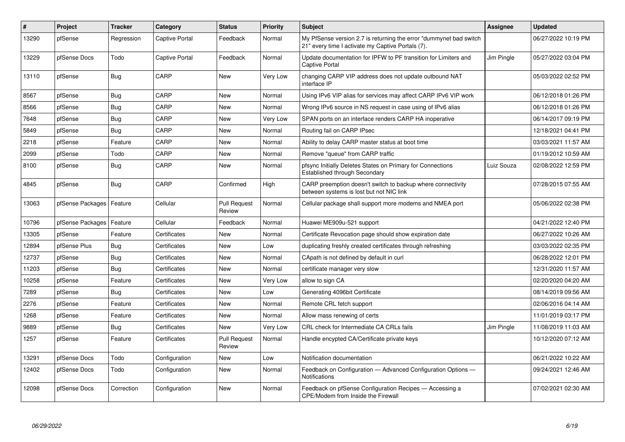| $\vert$ # | Project                    | <b>Tracker</b> | Category       | <b>Status</b>                 | <b>Priority</b> | <b>Subject</b>                                                                                                          | <b>Assignee</b> | <b>Updated</b>      |
|-----------|----------------------------|----------------|----------------|-------------------------------|-----------------|-------------------------------------------------------------------------------------------------------------------------|-----------------|---------------------|
| 13290     | pfSense                    | Regression     | Captive Portal | Feedback                      | Normal          | My PfSense version 2.7 is returning the error "dummynet bad switch<br>21" every time I activate my Captive Portals (7). |                 | 06/27/2022 10:19 PM |
| 13229     | pfSense Docs               | Todo           | Captive Portal | Feedback                      | Normal          | Update documentation for IPFW to PF transition for Limiters and<br>Captive Portal                                       | Jim Pingle      | 05/27/2022 03:04 PM |
| 13110     | pfSense                    | <b>Bug</b>     | CARP           | <b>New</b>                    | Very Low        | changing CARP VIP address does not update outbound NAT<br>interface IP                                                  |                 | 05/03/2022 02:52 PM |
| 8567      | pfSense                    | Bug            | CARP           | <b>New</b>                    | Normal          | Using IPv6 VIP alias for services may affect CARP IPv6 VIP work                                                         |                 | 06/12/2018 01:26 PM |
| 8566      | pfSense                    | <b>Bug</b>     | CARP           | <b>New</b>                    | Normal          | Wrong IPv6 source in NS request in case using of IPv6 alias                                                             |                 | 06/12/2018 01:26 PM |
| 7648      | pfSense                    | <b>Bug</b>     | CARP           | New                           | Very Low        | SPAN ports on an interface renders CARP HA inoperative                                                                  |                 | 06/14/2017 09:19 PM |
| 5849      | pfSense                    | <b>Bug</b>     | CARP           | New                           | Normal          | Routing fail on CARP IPsec                                                                                              |                 | 12/18/2021 04:41 PM |
| 2218      | pfSense                    | Feature        | CARP           | <b>New</b>                    | Normal          | Ability to delay CARP master status at boot time                                                                        |                 | 03/03/2021 11:57 AM |
| 2099      | pfSense                    | Todo           | CARP           | New                           | Normal          | Remove "queue" from CARP traffic                                                                                        |                 | 01/19/2012 10:59 AM |
| 8100      | pfSense                    | Bug            | CARP           | <b>New</b>                    | Normal          | pfsync Initially Deletes States on Primary for Connections<br>Established through Secondary                             | Luiz Souza      | 02/08/2022 12:59 PM |
| 4845      | pfSense                    | Bug            | CARP           | Confirmed                     | High            | CARP preemption doesn't switch to backup where connectivity<br>between systems is lost but not NIC link                 |                 | 07/28/2015 07:55 AM |
| 13063     | pfSense Packages   Feature |                | Cellular       | <b>Pull Request</b><br>Review | Normal          | Cellular package shall support more modems and NMEA port                                                                |                 | 05/06/2022 02:38 PM |
| 10796     | pfSense Packages           | Feature        | Cellular       | Feedback                      | Normal          | Huawei ME909u-521 support                                                                                               |                 | 04/21/2022 12:40 PM |
| 13305     | pfSense                    | Feature        | Certificates   | <b>New</b>                    | Normal          | Certificate Revocation page should show expiration date                                                                 |                 | 06/27/2022 10:26 AM |
| 12894     | pfSense Plus               | <b>Bug</b>     | Certificates   | New                           | Low             | duplicating freshly created certificates through refreshing                                                             |                 | 03/03/2022 02:35 PM |
| 12737     | pfSense                    | Bug            | Certificates   | <b>New</b>                    | Normal          | CApath is not defined by default in curl                                                                                |                 | 06/28/2022 12:01 PM |
| 11203     | pfSense                    | <b>Bug</b>     | Certificates   | <b>New</b>                    | Normal          | certificate manager very slow                                                                                           |                 | 12/31/2020 11:57 AM |
| 10258     | pfSense                    | Feature        | Certificates   | <b>New</b>                    | Very Low        | allow to sign CA                                                                                                        |                 | 02/20/2020 04:20 AM |
| 7289      | pfSense                    | Bug            | Certificates   | <b>New</b>                    | Low             | Generating 4096bit Certificate                                                                                          |                 | 08/14/2019 09:56 AM |
| 2276      | pfSense                    | Feature        | Certificates   | New                           | Normal          | Remote CRL fetch support                                                                                                |                 | 02/06/2016 04:14 AM |
| 1268      | pfSense                    | Feature        | Certificates   | <b>New</b>                    | Normal          | Allow mass renewing of certs                                                                                            |                 | 11/01/2019 03:17 PM |
| 9889      | pfSense                    | <b>Bug</b>     | Certificates   | <b>New</b>                    | Very Low        | CRL check for Intermediate CA CRLs fails                                                                                | Jim Pingle      | 11/08/2019 11:03 AM |
| 1257      | pfSense                    | Feature        | Certificates   | <b>Pull Request</b><br>Review | Normal          | Handle encypted CA/Certificate private keys                                                                             |                 | 10/12/2020 07:12 AM |
| 13291     | pfSense Docs               | Todo           | Configuration  | <b>New</b>                    | Low             | Notification documentation                                                                                              |                 | 06/21/2022 10:22 AM |
| 12402     | pfSense Docs               | Todo           | Configuration  | New                           | Normal          | Feedback on Configuration - Advanced Configuration Options -<br><b>Notifications</b>                                    |                 | 09/24/2021 12:46 AM |
| 12098     | pfSense Docs               | Correction     | Configuration  | <b>New</b>                    | Normal          | Feedback on pfSense Configuration Recipes - Accessing a<br>CPE/Modem from Inside the Firewall                           |                 | 07/02/2021 02:30 AM |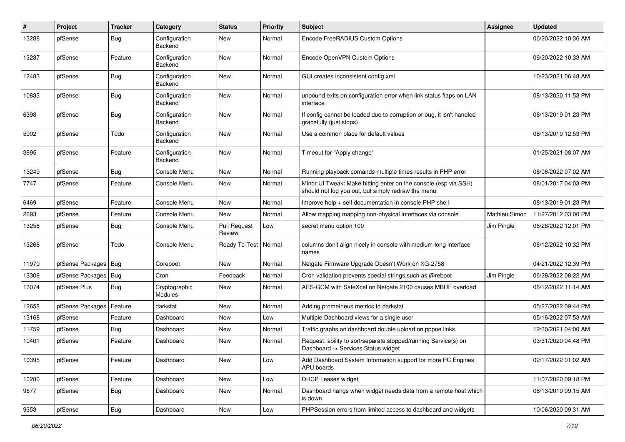| $\#$  | Project                | <b>Tracker</b> | Category                 | <b>Status</b>                 | <b>Priority</b> | Subject                                                                                                               | Assignee             | <b>Updated</b>      |
|-------|------------------------|----------------|--------------------------|-------------------------------|-----------------|-----------------------------------------------------------------------------------------------------------------------|----------------------|---------------------|
| 13288 | pfSense                | Bug            | Configuration<br>Backend | New                           | Normal          | Encode FreeRADIUS Custom Options                                                                                      |                      | 06/20/2022 10:36 AM |
| 13287 | pfSense                | Feature        | Configuration<br>Backend | <b>New</b>                    | Normal          | Encode OpenVPN Custom Options                                                                                         |                      | 06/20/2022 10:33 AM |
| 12483 | pfSense                | Bug            | Configuration<br>Backend | <b>New</b>                    | Normal          | GUI creates inconsistent config.xml                                                                                   |                      | 10/23/2021 06:48 AM |
| 10833 | pfSense                | <b>Bug</b>     | Configuration<br>Backend | <b>New</b>                    | Normal          | unbound exits on configuration error when link status flaps on LAN<br>interface                                       |                      | 08/13/2020 11:53 PM |
| 6398  | pfSense                | <b>Bug</b>     | Configuration<br>Backend | <b>New</b>                    | Normal          | If config cannot be loaded due to corruption or bug, it isn't handled<br>gracefully (just stops)                      |                      | 08/13/2019 01:23 PM |
| 5902  | pfSense                | Todo           | Configuration<br>Backend | <b>New</b>                    | Normal          | Use a common place for default values                                                                                 |                      | 08/13/2019 12:53 PM |
| 3895  | pfSense                | Feature        | Configuration<br>Backend | <b>New</b>                    | Normal          | Timeout for "Apply change"                                                                                            |                      | 01/25/2021 08:07 AM |
| 13249 | pfSense                | Bug            | Console Menu             | <b>New</b>                    | Normal          | Running playback comands multiple times results in PHP error                                                          |                      | 06/06/2022 07:02 AM |
| 7747  | pfSense                | Feature        | Console Menu             | <b>New</b>                    | Normal          | Minor UI Tweak: Make hitting enter on the console (esp via SSH)<br>should not log you out, but simply redraw the menu |                      | 08/01/2017 04:03 PM |
| 6469  | pfSense                | Feature        | Console Menu             | <b>New</b>                    | Normal          | Improve help + self documentation in console PHP shell                                                                |                      | 08/13/2019 01:23 PM |
| 2693  | pfSense                | Feature        | Console Menu             | <b>New</b>                    | Normal          | Allow mapping mapping non-physical interfaces via console                                                             | <b>Mathieu Simon</b> | 11/27/2012 03:00 PM |
| 13258 | pfSense                | <b>Bug</b>     | Console Menu             | <b>Pull Request</b><br>Review | Low             | secret menu option 100                                                                                                | Jim Pingle           | 06/28/2022 12:01 PM |
| 13268 | pfSense                | Todo           | Console Menu             | Ready To Test                 | Normal          | columns don't align nicely in console with medium-long interface<br>names                                             |                      | 06/12/2022 10:32 PM |
| 11970 | pfSense Packages   Bug |                | Coreboot                 | New                           | Normal          | Netgate Firmware Upgrade Doesn't Work on XG-2758                                                                      |                      | 04/21/2022 12:39 PM |
| 13309 | pfSense Packages       | Bug            | Cron                     | Feedback                      | Normal          | Cron validation prevents special strings such as @reboot                                                              | Jim Pingle           | 06/28/2022 08:22 AM |
| 13074 | pfSense Plus           | <b>Bug</b>     | Cryptographic<br>Modules | New                           | Normal          | AES-GCM with SafeXcel on Netgate 2100 causes MBUF overload                                                            |                      | 06/12/2022 11:14 AM |
| 12658 | pfSense Packages       | Feature        | darkstat                 | <b>New</b>                    | Normal          | Adding prometheus metrics to darkstat                                                                                 |                      | 05/27/2022 09:44 PM |
| 13168 | pfSense                | Feature        | Dashboard                | <b>New</b>                    | Low             | Multiple Dashboard views for a single user                                                                            |                      | 05/16/2022 07:53 AM |
| 11759 | pfSense                | Bug            | Dashboard                | New                           | Normal          | Traffic graphs on dashboard double upload on pppoe links                                                              |                      | 12/30/2021 04:00 AM |
| 10401 | pfSense                | Feature        | Dashboard                | <b>New</b>                    | Normal          | Request: ability to sort/separate stopped/running Service(s) on<br>Dashboard -> Services Status widget                |                      | 03/31/2020 04:48 PM |
| 10395 | pfSense                | Feature        | Dashboard                | New                           | Low             | Add Dashboard System Information support for more PC Engines<br><b>APU</b> boards                                     |                      | 02/17/2022 01:02 AM |
| 10280 | pfSense                | Feature        | Dashboard                | New                           | Low             | <b>DHCP Leases widget</b>                                                                                             |                      | 11/07/2020 09:18 PM |
| 9677  | pfSense                | <b>Bug</b>     | Dashboard                | New                           | Normal          | Dashboard hangs when widget needs data from a remote host which<br>is down                                            |                      | 08/13/2019 09:15 AM |
| 9353  | pfSense                | Bug            | Dashboard                | New                           | Low             | PHPSession errors from limited access to dashboard and widgets                                                        |                      | 10/06/2020 09:31 AM |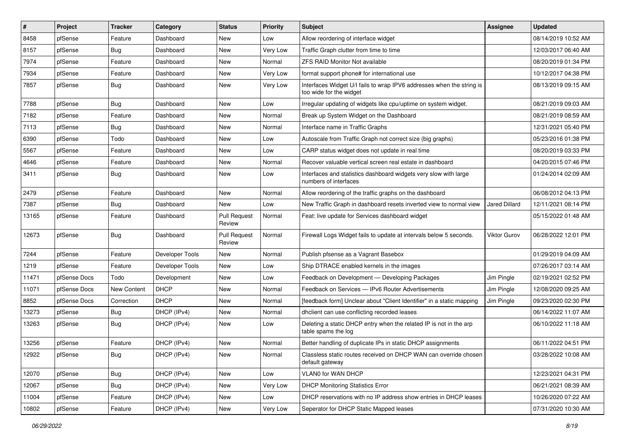| $\vert$ # | Project      | <b>Tracker</b> | Category        | <b>Status</b>                 | <b>Priority</b> | Subject                                                                                          | <b>Assignee</b> | <b>Updated</b>      |
|-----------|--------------|----------------|-----------------|-------------------------------|-----------------|--------------------------------------------------------------------------------------------------|-----------------|---------------------|
| 8458      | pfSense      | Feature        | Dashboard       | New                           | Low             | Allow reordering of interface widget                                                             |                 | 08/14/2019 10:52 AM |
| 8157      | pfSense      | Bug            | Dashboard       | <b>New</b>                    | Very Low        | Traffic Graph clutter from time to time                                                          |                 | 12/03/2017 06:40 AM |
| 7974      | pfSense      | Feature        | Dashboard       | New                           | Normal          | <b>ZFS RAID Monitor Not available</b>                                                            |                 | 08/20/2019 01:34 PM |
| 7934      | pfSense      | Feature        | Dashboard       | <b>New</b>                    | Very Low        | format support phone# for international use                                                      |                 | 10/12/2017 04:38 PM |
| 7857      | pfSense      | <b>Bug</b>     | Dashboard       | New                           | Very Low        | Interfaces Widget U/I fails to wrap IPV6 addresses when the string is<br>too wide for the widget |                 | 08/13/2019 09:15 AM |
| 7788      | pfSense      | Bug            | Dashboard       | <b>New</b>                    | Low             | Irregular updating of widgets like cpu/uptime on system widget.                                  |                 | 08/21/2019 09:03 AM |
| 7182      | pfSense      | Feature        | Dashboard       | <b>New</b>                    | Normal          | Break up System Widget on the Dashboard                                                          |                 | 08/21/2019 08:59 AM |
| 7113      | pfSense      | <b>Bug</b>     | Dashboard       | <b>New</b>                    | Normal          | Interface name in Traffic Graphs                                                                 |                 | 12/31/2021 05:40 PM |
| 6390      | pfSense      | Todo           | Dashboard       | <b>New</b>                    | Low             | Autoscale from Traffic Graph not correct size (big graphs)                                       |                 | 05/23/2016 01:38 PM |
| 5567      | pfSense      | Feature        | Dashboard       | New                           | Low             | CARP status widget does not update in real time                                                  |                 | 08/20/2019 03:33 PM |
| 4646      | pfSense      | Feature        | Dashboard       | <b>New</b>                    | Normal          | Recover valuable vertical screen real estate in dashboard                                        |                 | 04/20/2015 07:46 PM |
| 3411      | pfSense      | <b>Bug</b>     | Dashboard       | <b>New</b>                    | Low             | Interfaces and statistics dashboard widgets very slow with large<br>numbers of interfaces        |                 | 01/24/2014 02:09 AM |
| 2479      | pfSense      | Feature        | Dashboard       | <b>New</b>                    | Normal          | Allow reordering of the traffic graphs on the dashboard                                          |                 | 06/08/2012 04:13 PM |
| 7387      | pfSense      | <b>Bug</b>     | Dashboard       | New                           | Low             | New Traffic Graph in dashboard resets inverted view to normal view                               | Jared Dillard   | 12/11/2021 08:14 PM |
| 13165     | pfSense      | Feature        | Dashboard       | <b>Pull Request</b><br>Review | Normal          | Feat: live update for Services dashboard widget                                                  |                 | 05/15/2022 01:48 AM |
| 12673     | pfSense      | Bug            | Dashboard       | <b>Pull Request</b><br>Review | Normal          | Firewall Logs Widget fails to update at intervals below 5 seconds.                               | Viktor Gurov    | 06/28/2022 12:01 PM |
| 7244      | pfSense      | Feature        | Developer Tools | New                           | Normal          | Publish pfsense as a Vagrant Basebox                                                             |                 | 01/29/2019 04:09 AM |
| 1219      | pfSense      | Feature        | Developer Tools | <b>New</b>                    | Low             | Ship DTRACE enabled kernels in the images                                                        |                 | 07/26/2017 03:14 AM |
| 11471     | pfSense Docs | Todo           | Development     | <b>New</b>                    | Low             | Feedback on Development - Developing Packages                                                    | Jim Pingle      | 02/19/2021 02:52 PM |
| 11071     | pfSense Docs | New Content    | <b>DHCP</b>     | New                           | Normal          | Feedback on Services - IPv6 Router Advertisements                                                | Jim Pingle      | 12/08/2020 09:25 AM |
| 8852      | pfSense Docs | Correction     | <b>DHCP</b>     | <b>New</b>                    | Normal          | [feedback form] Unclear about "Client Identifier" in a static mapping                            | Jim Pingle      | 09/23/2020 02:30 PM |
| 13273     | pfSense      | <b>Bug</b>     | DHCP (IPv4)     | <b>New</b>                    | Normal          | dhclient can use conflicting recorded leases                                                     |                 | 06/14/2022 11:07 AM |
| 13263     | pfSense      | <b>Bug</b>     | DHCP (IPv4)     | <b>New</b>                    | Low             | Deleting a static DHCP entry when the related IP is not in the arp<br>table spams the log        |                 | 06/10/2022 11:18 AM |
| 13256     | pfSense      | Feature        | DHCP (IPv4)     | <b>New</b>                    | Normal          | Better handling of duplicate IPs in static DHCP assignments                                      |                 | 06/11/2022 04:51 PM |
| 12922     | ptSense      | Bug            | DHCP (IPv4)     | New                           | Normal          | Classless static routes received on DHCP WAN can override chosen<br>default gateway              |                 | 03/28/2022 10:08 AM |
| 12070     | pfSense      | Bug            | DHCP (IPv4)     | New                           | Low             | <b>VLAN0 for WAN DHCP</b>                                                                        |                 | 12/23/2021 04:31 PM |
| 12067     | pfSense      | <b>Bug</b>     | DHCP (IPv4)     | New                           | Very Low        | <b>DHCP Monitoring Statistics Error</b>                                                          |                 | 06/21/2021 08:39 AM |
| 11004     | pfSense      | Feature        | DHCP (IPv4)     | New                           | Low             | DHCP reservations with no IP address show entries in DHCP leases                                 |                 | 10/26/2020 07:22 AM |
| 10802     | pfSense      | Feature        | DHCP (IPv4)     | New                           | Very Low        | Seperator for DHCP Static Mapped leases                                                          |                 | 07/31/2020 10:30 AM |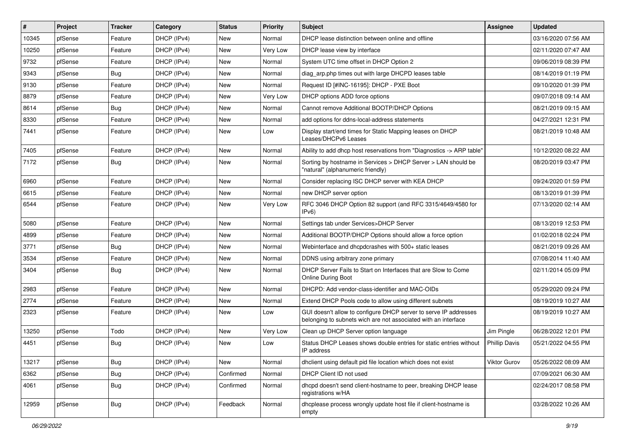| $\vert$ # | Project | <b>Tracker</b> | Category    | <b>Status</b> | <b>Priority</b> | Subject                                                                                                                            | Assignee             | <b>Updated</b>      |
|-----------|---------|----------------|-------------|---------------|-----------------|------------------------------------------------------------------------------------------------------------------------------------|----------------------|---------------------|
| 10345     | pfSense | Feature        | DHCP (IPv4) | <b>New</b>    | Normal          | DHCP lease distinction between online and offline                                                                                  |                      | 03/16/2020 07:56 AM |
| 10250     | pfSense | Feature        | DHCP (IPv4) | New           | Very Low        | DHCP lease view by interface                                                                                                       |                      | 02/11/2020 07:47 AM |
| 9732      | pfSense | Feature        | DHCP (IPv4) | New           | Normal          | System UTC time offset in DHCP Option 2                                                                                            |                      | 09/06/2019 08:39 PM |
| 9343      | pfSense | <b>Bug</b>     | DHCP (IPv4) | New           | Normal          | diag arp.php times out with large DHCPD leases table                                                                               |                      | 08/14/2019 01:19 PM |
| 9130      | pfSense | Feature        | DHCP (IPv4) | <b>New</b>    | Normal          | Request ID [#INC-16195]: DHCP - PXE Boot                                                                                           |                      | 09/10/2020 01:39 PM |
| 8879      | pfSense | Feature        | DHCP (IPv4) | New           | Very Low        | DHCP options ADD force options                                                                                                     |                      | 09/07/2018 09:14 AM |
| 8614      | pfSense | Bug            | DHCP (IPv4) | New           | Normal          | Cannot remove Additional BOOTP/DHCP Options                                                                                        |                      | 08/21/2019 09:15 AM |
| 8330      | pfSense | Feature        | DHCP (IPv4) | <b>New</b>    | Normal          | add options for ddns-local-address statements                                                                                      |                      | 04/27/2021 12:31 PM |
| 7441      | pfSense | Feature        | DHCP (IPv4) | New           | Low             | Display start/end times for Static Mapping leases on DHCP<br>Leases/DHCPv6 Leases                                                  |                      | 08/21/2019 10:48 AM |
| 7405      | pfSense | Feature        | DHCP (IPv4) | New           | Normal          | Ability to add dhcp host reservations from "Diagnostics -> ARP table"                                                              |                      | 10/12/2020 08:22 AM |
| 7172      | pfSense | <b>Bug</b>     | DHCP (IPv4) | New           | Normal          | Sorting by hostname in Services > DHCP Server > LAN should be<br>"natural" (alphanumeric friendly)                                 |                      | 08/20/2019 03:47 PM |
| 6960      | pfSense | Feature        | DHCP (IPv4) | <b>New</b>    | Normal          | Consider replacing ISC DHCP server with KEA DHCP                                                                                   |                      | 09/24/2020 01:59 PM |
| 6615      | pfSense | Feature        | DHCP (IPv4) | New           | Normal          | new DHCP server option                                                                                                             |                      | 08/13/2019 01:39 PM |
| 6544      | pfSense | Feature        | DHCP (IPv4) | <b>New</b>    | Very Low        | RFC 3046 DHCP Option 82 support (and RFC 3315/4649/4580 for<br>IPv6                                                                |                      | 07/13/2020 02:14 AM |
| 5080      | pfSense | Feature        | DHCP (IPv4) | <b>New</b>    | Normal          | Settings tab under Services>DHCP Server                                                                                            |                      | 08/13/2019 12:53 PM |
| 4899      | pfSense | Feature        | DHCP (IPv4) | New           | Normal          | Additional BOOTP/DHCP Options should allow a force option                                                                          |                      | 01/02/2018 02:24 PM |
| 3771      | pfSense | <b>Bug</b>     | DHCP (IPv4) | New           | Normal          | Webinterface and dhcpdcrashes with 500+ static leases                                                                              |                      | 08/21/2019 09:26 AM |
| 3534      | pfSense | Feature        | DHCP (IPv4) | <b>New</b>    | Normal          | DDNS using arbitrary zone primary                                                                                                  |                      | 07/08/2014 11:40 AM |
| 3404      | pfSense | Bug            | DHCP (IPv4) | New           | Normal          | DHCP Server Fails to Start on Interfaces that are Slow to Come<br><b>Online During Boot</b>                                        |                      | 02/11/2014 05:09 PM |
| 2983      | pfSense | Feature        | DHCP (IPv4) | <b>New</b>    | Normal          | DHCPD: Add vendor-class-identifier and MAC-OIDs                                                                                    |                      | 05/29/2020 09:24 PM |
| 2774      | pfSense | Feature        | DHCP (IPv4) | New           | Normal          | Extend DHCP Pools code to allow using different subnets                                                                            |                      | 08/19/2019 10:27 AM |
| 2323      | pfSense | Feature        | DHCP (IPv4) | <b>New</b>    | Low             | GUI doesn't allow to configure DHCP server to serve IP addresses<br>belonging to subnets wich are not associated with an interface |                      | 08/19/2019 10:27 AM |
| 13250     | pfSense | Todo           | DHCP (IPv4) | <b>New</b>    | Very Low        | Clean up DHCP Server option language                                                                                               | Jim Pingle           | 06/28/2022 12:01 PM |
| 4451      | pfSense | <b>Bug</b>     | DHCP (IPv4) | New           | Low             | Status DHCP Leases shows double entries for static entries without<br>IP address                                                   | <b>Phillip Davis</b> | 05/21/2022 04:55 PM |
| 13217     | pfSense | Bug            | DHCP (IPv4) | New           | Normal          | dhelient using default pid file location which does not exist                                                                      | Viktor Gurov         | 05/26/2022 08:09 AM |
| 6362      | pfSense | Bug            | DHCP (IPv4) | Confirmed     | Normal          | DHCP Client ID not used                                                                                                            |                      | 07/09/2021 06:30 AM |
| 4061      | pfSense | <b>Bug</b>     | DHCP (IPv4) | Confirmed     | Normal          | dhcpd doesn't send client-hostname to peer, breaking DHCP lease<br>registrations w/HA                                              |                      | 02/24/2017 08:58 PM |
| 12959     | pfSense | <b>Bug</b>     | DHCP (IPv4) | Feedback      | Normal          | dhcplease process wrongly update host file if client-hostname is<br>empty                                                          |                      | 03/28/2022 10:26 AM |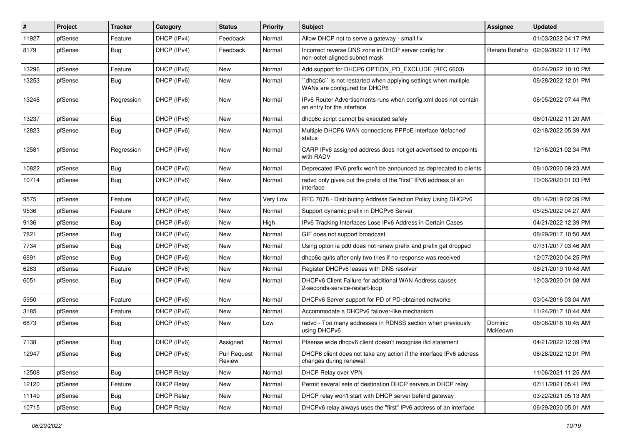| ∦     | Project | <b>Tracker</b> | Category          | <b>Status</b>          | <b>Priority</b> | Subject                                                                                          | <b>Assignee</b>    | <b>Updated</b>                       |
|-------|---------|----------------|-------------------|------------------------|-----------------|--------------------------------------------------------------------------------------------------|--------------------|--------------------------------------|
| 11927 | pfSense | Feature        | DHCP (IPv4)       | Feedback               | Normal          | Allow DHCP not to serve a gateway - small fix                                                    |                    | 01/03/2022 04:17 PM                  |
| 8179  | pfSense | <b>Bug</b>     | DHCP (IPv4)       | Feedback               | Normal          | Incorrect reverse DNS zone in DHCP server config for<br>non-octet-aligned subnet mask            |                    | Renato Botelho   02/09/2022 11:17 PM |
| 13296 | pfSense | Feature        | DHCP (IPv6)       | New                    | Normal          | Add support for DHCP6 OPTION_PD_EXCLUDE (RFC 6603)                                               |                    | 06/24/2022 10:10 PM                  |
| 13253 | pfSense | Bug            | DHCP (IPv6)       | <b>New</b>             | Normal          | 'dhcp6c'' is not restarted when applying settings when multiple<br>WANs are configured for DHCP6 |                    | 06/28/2022 12:01 PM                  |
| 13248 | pfSense | Regression     | DHCP (IPv6)       | <b>New</b>             | Normal          | IPv6 Router Advertisements runs when config.xml does not contain<br>an entry for the interface   |                    | 06/05/2022 07:44 PM                  |
| 13237 | pfSense | <b>Bug</b>     | DHCP (IPv6)       | <b>New</b>             | Normal          | dhcp6c script cannot be executed safely                                                          |                    | 06/01/2022 11:20 AM                  |
| 12823 | pfSense | <b>Bug</b>     | DHCP (IPv6)       | New                    | Normal          | Multiple DHCP6 WAN connections PPPoE interface 'defached'<br>status                              |                    | 02/18/2022 05:39 AM                  |
| 12581 | pfSense | Regression     | DHCP (IPv6)       | <b>New</b>             | Normal          | CARP IPv6 assigned address does not get advertised to endpoints<br>with RADV                     |                    | 12/16/2021 02:34 PM                  |
| 10822 | pfSense | <b>Bug</b>     | DHCP (IPv6)       | New                    | Normal          | Deprecated IPv6 prefix won't be announced as deprecated to clients                               |                    | 08/10/2020 09:23 AM                  |
| 10714 | pfSense | <b>Bug</b>     | DHCP (IPv6)       | <b>New</b>             | Normal          | radvd only gives out the prefix of the "first" IPv6 address of an<br>interface                   |                    | 10/06/2020 01:03 PM                  |
| 9575  | pfSense | Feature        | DHCP (IPv6)       | New                    | Very Low        | RFC 7078 - Distributing Address Selection Policy Using DHCPv6                                    |                    | 08/14/2019 02:39 PM                  |
| 9536  | pfSense | Feature        | DHCP (IPv6)       | <b>New</b>             | Normal          | Support dynamic prefix in DHCPv6 Server                                                          |                    | 05/25/2022 04:27 AM                  |
| 9136  | pfSense | <b>Bug</b>     | DHCP (IPv6)       | <b>New</b>             | High            | IPv6 Tracking Interfaces Lose IPv6 Address in Certain Cases                                      |                    | 04/21/2022 12:39 PM                  |
| 7821  | pfSense | Bug            | DHCP (IPv6)       | <b>New</b>             | Normal          | GIF does not support broadcast                                                                   |                    | 08/29/2017 10:50 AM                  |
| 7734  | pfSense | <b>Bug</b>     | DHCP (IPv6)       | <b>New</b>             | Normal          | Using opton ia pd0 does not renew prefix and prefix get dropped                                  |                    | 07/31/2017 03:46 AM                  |
| 6691  | pfSense | Bug            | DHCP (IPv6)       | New                    | Normal          | dhcp6c quits after only two tries if no response was received                                    |                    | 12/07/2020 04:25 PM                  |
| 6283  | pfSense | Feature        | DHCP (IPv6)       | <b>New</b>             | Normal          | Register DHCPv6 leases with DNS resolver                                                         |                    | 08/21/2019 10:48 AM                  |
| 6051  | pfSense | Bug            | DHCP (IPv6)       | <b>New</b>             | Normal          | DHCPv6 Client Failure for additional WAN Address causes<br>2-seconds-service-restart-loop        |                    | 12/03/2020 01:08 AM                  |
| 5950  | pfSense | Feature        | DHCP (IPv6)       | <b>New</b>             | Normal          | DHCPv6 Server support for PD of PD-obtained networks                                             |                    | 03/04/2016 03:04 AM                  |
| 3185  | pfSense | Feature        | DHCP (IPv6)       | <b>New</b>             | Normal          | Accommodate a DHCPv6 failover-like mechanism                                                     |                    | 11/24/2017 10:44 AM                  |
| 6873  | pfSense | Bug            | DHCP (IPv6)       | <b>New</b>             | Low             | radvd - Too many addresses in RDNSS section when previously<br>using DHCPv6                      | Dominic<br>McKeown | 06/06/2018 10:45 AM                  |
| 7138  | pfSense | Bug            | DHCP (IPv6)       | Assigned               | Normal          | Pfsense wide dhcpv6 client doesn't recognise ifid statement                                      |                    | 04/21/2022 12:39 PM                  |
| 12947 | pfSense | <b>Bug</b>     | DHCP (IPv6)       | Pull Request<br>Review | Normal          | DHCP6 client does not take any action if the interface IPv6 address<br>changes during renewal    |                    | 06/28/2022 12:01 PM                  |
| 12508 | pfSense | Bug            | <b>DHCP Relay</b> | New                    | Normal          | DHCP Relay over VPN                                                                              |                    | 11/06/2021 11:25 AM                  |
| 12120 | pfSense | Feature        | <b>DHCP Relay</b> | New                    | Normal          | Permit several sets of destination DHCP servers in DHCP relay                                    |                    | 07/11/2021 05:41 PM                  |
| 11149 | pfSense | <b>Bug</b>     | <b>DHCP Relay</b> | New                    | Normal          | DHCP relay won't start with DHCP server behind gateway                                           |                    | 03/22/2021 05:13 AM                  |
| 10715 | pfSense | Bug            | <b>DHCP Relay</b> | New                    | Normal          | DHCPv6 relay always uses the "first" IPv6 address of an interface                                |                    | 06/29/2020 05:01 AM                  |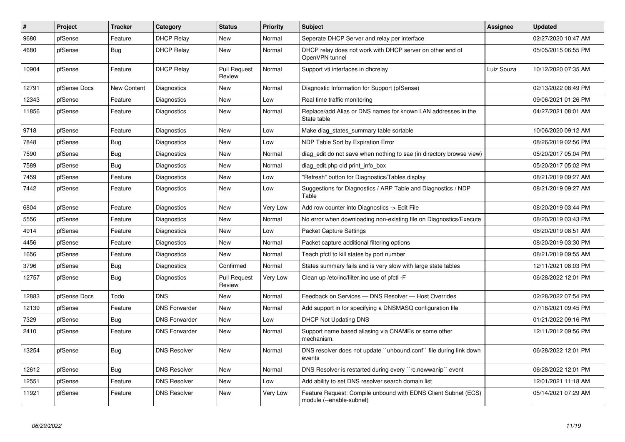| #     | <b>Project</b> | <b>Tracker</b>     | Category             | <b>Status</b>                 | Priority | <b>Subject</b>                                                                             | Assignee   | <b>Updated</b>      |
|-------|----------------|--------------------|----------------------|-------------------------------|----------|--------------------------------------------------------------------------------------------|------------|---------------------|
| 9680  | pfSense        | Feature            | <b>DHCP Relay</b>    | <b>New</b>                    | Normal   | Seperate DHCP Server and relay per interface                                               |            | 02/27/2020 10:47 AM |
| 4680  | pfSense        | <b>Bug</b>         | <b>DHCP Relay</b>    | New                           | Normal   | DHCP relay does not work with DHCP server on other end of<br>OpenVPN tunnel                |            | 05/05/2015 06:55 PM |
| 10904 | pfSense        | Feature            | <b>DHCP Relay</b>    | <b>Pull Request</b><br>Review | Normal   | Support vti interfaces in dhcrelay                                                         | Luiz Souza | 10/12/2020 07:35 AM |
| 12791 | pfSense Docs   | <b>New Content</b> | Diagnostics          | New                           | Normal   | Diagnostic Information for Support (pfSense)                                               |            | 02/13/2022 08:49 PM |
| 12343 | pfSense        | Feature            | Diagnostics          | New                           | Low      | Real time traffic monitoring                                                               |            | 09/06/2021 01:26 PM |
| 11856 | pfSense        | Feature            | Diagnostics          | New                           | Normal   | Replace/add Alias or DNS names for known LAN addresses in the<br>State table               |            | 04/27/2021 08:01 AM |
| 9718  | pfSense        | Feature            | Diagnostics          | New                           | Low      | Make diag_states_summary table sortable                                                    |            | 10/06/2020 09:12 AM |
| 7848  | pfSense        | <b>Bug</b>         | Diagnostics          | New                           | Low      | NDP Table Sort by Expiration Error                                                         |            | 08/26/2019 02:56 PM |
| 7590  | pfSense        | <b>Bug</b>         | Diagnostics          | <b>New</b>                    | Normal   | diag edit do not save when nothing to sae (in directory browse view)                       |            | 05/20/2017 05:04 PM |
| 7589  | pfSense        | Bug                | Diagnostics          | New                           | Normal   | diag_edit.php old print_info_box                                                           |            | 05/20/2017 05:02 PM |
| 7459  | pfSense        | Feature            | Diagnostics          | <b>New</b>                    | Low      | "Refresh" button for Diagnostics/Tables display                                            |            | 08/21/2019 09:27 AM |
| 7442  | pfSense        | Feature            | Diagnostics          | <b>New</b>                    | Low      | Suggestions for Diagnostics / ARP Table and Diagnostics / NDP<br>Table                     |            | 08/21/2019 09:27 AM |
| 6804  | pfSense        | Feature            | Diagnostics          | New                           | Very Low | Add row counter into Diagnostics -> Edit File                                              |            | 08/20/2019 03:44 PM |
| 5556  | pfSense        | Feature            | Diagnostics          | New                           | Normal   | No error when downloading non-existing file on Diagnostics/Execute                         |            | 08/20/2019 03:43 PM |
| 4914  | pfSense        | Feature            | Diagnostics          | <b>New</b>                    | Low      | <b>Packet Capture Settings</b>                                                             |            | 08/20/2019 08:51 AM |
| 4456  | pfSense        | Feature            | Diagnostics          | New                           | Normal   | Packet capture additional filtering options                                                |            | 08/20/2019 03:30 PM |
| 1656  | pfSense        | Feature            | Diagnostics          | <b>New</b>                    | Normal   | Teach pfctl to kill states by port number                                                  |            | 08/21/2019 09:55 AM |
| 3796  | pfSense        | <b>Bug</b>         | Diagnostics          | Confirmed                     | Normal   | States summary fails and is very slow with large state tables                              |            | 12/11/2021 08:03 PM |
| 12757 | pfSense        | Bug                | Diagnostics          | <b>Pull Request</b><br>Review | Very Low | Clean up /etc/inc/filter.inc use of pfctl -F                                               |            | 06/28/2022 12:01 PM |
| 12883 | pfSense Docs   | Todo               | <b>DNS</b>           | New                           | Normal   | Feedback on Services - DNS Resolver - Host Overrides                                       |            | 02/28/2022 07:54 PM |
| 12139 | pfSense        | Feature            | <b>DNS Forwarder</b> | <b>New</b>                    | Normal   | Add support in for specifying a DNSMASQ configuration file                                 |            | 07/16/2021 09:45 PM |
| 7329  | pfSense        | Bug                | <b>DNS Forwarder</b> | New                           | Low      | <b>DHCP Not Updating DNS</b>                                                               |            | 01/21/2022 09:16 PM |
| 2410  | pfSense        | Feature            | <b>DNS Forwarder</b> | New                           | Normal   | Support name based aliasing via CNAMEs or some other<br>mechanism.                         |            | 12/11/2012 09:56 PM |
| 13254 | pfSense        | <b>Bug</b>         | <b>DNS Resolver</b>  | New                           | Normal   | DNS resolver does not update "unbound.conf" file during link down<br>events                |            | 06/28/2022 12:01 PM |
| 12612 | pfSense        | Bug                | <b>DNS Resolver</b>  | <b>New</b>                    | Normal   | DNS Resolver is restarted during every "rc.newwanip" event                                 |            | 06/28/2022 12:01 PM |
| 12551 | pfSense        | Feature            | <b>DNS Resolver</b>  | <b>New</b>                    | Low      | Add ability to set DNS resolver search domain list                                         |            | 12/01/2021 11:18 AM |
| 11921 | pfSense        | Feature            | <b>DNS Resolver</b>  | <b>New</b>                    | Very Low | Feature Request: Compile unbound with EDNS Client Subnet (ECS)<br>module (--enable-subnet) |            | 05/14/2021 07:29 AM |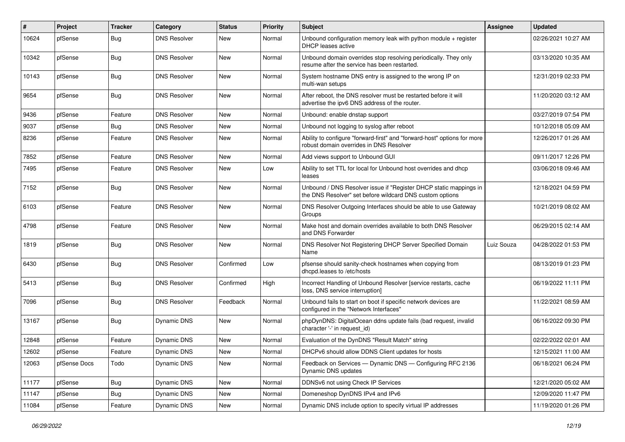| $\vert$ # | Project      | <b>Tracker</b> | Category            | <b>Status</b> | <b>Priority</b> | Subject                                                                                                                       | Assignee   | <b>Updated</b>      |
|-----------|--------------|----------------|---------------------|---------------|-----------------|-------------------------------------------------------------------------------------------------------------------------------|------------|---------------------|
| 10624     | pfSense      | <b>Bug</b>     | <b>DNS Resolver</b> | New           | Normal          | Unbound configuration memory leak with python module + register<br>DHCP leases active                                         |            | 02/26/2021 10:27 AM |
| 10342     | pfSense      | Bug            | <b>DNS Resolver</b> | New           | Normal          | Unbound domain overrides stop resolving periodically. They only<br>resume after the service has been restarted.               |            | 03/13/2020 10:35 AM |
| 10143     | pfSense      | <b>Bug</b>     | <b>DNS Resolver</b> | New           | Normal          | System hostname DNS entry is assigned to the wrong IP on<br>multi-wan setups                                                  |            | 12/31/2019 02:33 PM |
| 9654      | pfSense      | Bug            | <b>DNS Resolver</b> | New           | Normal          | After reboot, the DNS resolver must be restarted before it will<br>advertise the ipv6 DNS address of the router.              |            | 11/20/2020 03:12 AM |
| 9436      | pfSense      | Feature        | <b>DNS Resolver</b> | New           | Normal          | Unbound: enable dnstap support                                                                                                |            | 03/27/2019 07:54 PM |
| 9037      | pfSense      | Bug            | <b>DNS Resolver</b> | New           | Normal          | Unbound not logging to syslog after reboot                                                                                    |            | 10/12/2018 05:09 AM |
| 8236      | pfSense      | Feature        | <b>DNS Resolver</b> | New           | Normal          | Ability to configure "forward-first" and "forward-host" options for more<br>robust domain overrides in DNS Resolver           |            | 12/26/2017 01:26 AM |
| 7852      | pfSense      | Feature        | <b>DNS Resolver</b> | New           | Normal          | Add views support to Unbound GUI                                                                                              |            | 09/11/2017 12:26 PM |
| 7495      | pfSense      | Feature        | <b>DNS Resolver</b> | New           | Low             | Ability to set TTL for local for Unbound host overrides and dhcp<br>leases                                                    |            | 03/06/2018 09:46 AM |
| 7152      | pfSense      | Bug            | <b>DNS Resolver</b> | New           | Normal          | Unbound / DNS Resolver issue if "Register DHCP static mappings in<br>the DNS Resolver" set before wildcard DNS custom options |            | 12/18/2021 04:59 PM |
| 6103      | pfSense      | Feature        | <b>DNS Resolver</b> | New           | Normal          | DNS Resolver Outgoing Interfaces should be able to use Gateway<br>Groups                                                      |            | 10/21/2019 08:02 AM |
| 4798      | pfSense      | Feature        | <b>DNS Resolver</b> | New           | Normal          | Make host and domain overrides available to both DNS Resolver<br>and DNS Forwarder                                            |            | 06/29/2015 02:14 AM |
| 1819      | pfSense      | Bug            | <b>DNS Resolver</b> | New           | Normal          | DNS Resolver Not Registering DHCP Server Specified Domain<br>Name                                                             | Luiz Souza | 04/28/2022 01:53 PM |
| 6430      | pfSense      | <b>Bug</b>     | <b>DNS Resolver</b> | Confirmed     | Low             | pfsense should sanity-check hostnames when copying from<br>dhcpd.leases to /etc/hosts                                         |            | 08/13/2019 01:23 PM |
| 5413      | pfSense      | Bug            | <b>DNS Resolver</b> | Confirmed     | High            | Incorrect Handling of Unbound Resolver [service restarts, cache<br>loss, DNS service interruption]                            |            | 06/19/2022 11:11 PM |
| 7096      | pfSense      | Bug            | <b>DNS Resolver</b> | Feedback      | Normal          | Unbound fails to start on boot if specific network devices are<br>configured in the "Network Interfaces"                      |            | 11/22/2021 08:59 AM |
| 13167     | pfSense      | <b>Bug</b>     | Dynamic DNS         | <b>New</b>    | Normal          | phpDynDNS: DigitalOcean ddns update fails (bad request, invalid<br>character '-' in request id)                               |            | 06/16/2022 09:30 PM |
| 12848     | pfSense      | Feature        | Dynamic DNS         | New           | Normal          | Evaluation of the DynDNS "Result Match" string                                                                                |            | 02/22/2022 02:01 AM |
| 12602     | pfSense      | Feature        | Dynamic DNS         | New           | Normal          | DHCPv6 should allow DDNS Client updates for hosts                                                                             |            | 12/15/2021 11:00 AM |
| 12063     | pfSense Docs | Todo           | Dynamic DNS         | New           | Normal          | Feedback on Services - Dynamic DNS - Configuring RFC 2136<br>Dynamic DNS updates                                              |            | 06/18/2021 06:24 PM |
| 11177     | pfSense      | <b>Bug</b>     | Dynamic DNS         | New           | Normal          | DDNSv6 not using Check IP Services                                                                                            |            | 12/21/2020 05:02 AM |
| 11147     | pfSense      | <b>Bug</b>     | Dynamic DNS         | New           | Normal          | Domeneshop DynDNS IPv4 and IPv6                                                                                               |            | 12/09/2020 11:47 PM |
| 11084     | pfSense      | Feature        | Dynamic DNS         | New           | Normal          | Dynamic DNS include option to specify virtual IP addresses                                                                    |            | 11/19/2020 01:26 PM |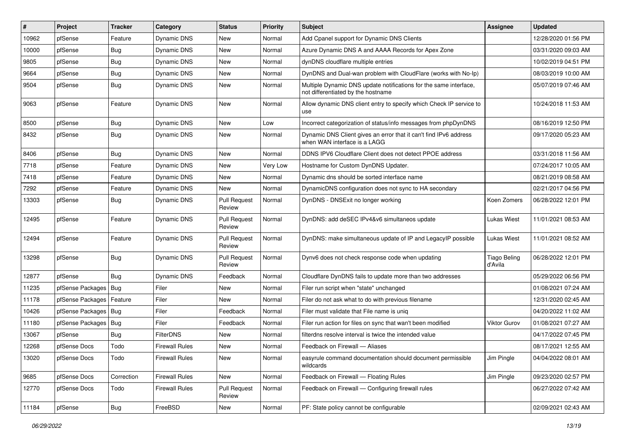| $\vert$ # | Project          | <b>Tracker</b> | Category              | <b>Status</b>                 | <b>Priority</b> | Subject                                                                                                 | Assignee                       | <b>Updated</b>      |
|-----------|------------------|----------------|-----------------------|-------------------------------|-----------------|---------------------------------------------------------------------------------------------------------|--------------------------------|---------------------|
| 10962     | pfSense          | Feature        | Dynamic DNS           | New                           | Normal          | Add Cpanel support for Dynamic DNS Clients                                                              |                                | 12/28/2020 01:56 PM |
| 10000     | pfSense          | <b>Bug</b>     | Dynamic DNS           | New                           | Normal          | Azure Dynamic DNS A and AAAA Records for Apex Zone                                                      |                                | 03/31/2020 09:03 AM |
| 9805      | pfSense          | <b>Bug</b>     | Dynamic DNS           | New                           | Normal          | dynDNS cloudflare multiple entries                                                                      |                                | 10/02/2019 04:51 PM |
| 9664      | pfSense          | <b>Bug</b>     | Dynamic DNS           | <b>New</b>                    | Normal          | DynDNS and Dual-wan problem with CloudFlare (works with No-Ip)                                          |                                | 08/03/2019 10:00 AM |
| 9504      | pfSense          | Bug            | Dynamic DNS           | <b>New</b>                    | Normal          | Multiple Dynamic DNS update notifications for the same interface,<br>not differentiated by the hostname |                                | 05/07/2019 07:46 AM |
| 9063      | pfSense          | Feature        | Dynamic DNS           | New                           | Normal          | Allow dynamic DNS client entry to specify which Check IP service to<br>use                              |                                | 10/24/2018 11:53 AM |
| 8500      | pfSense          | Bug            | Dynamic DNS           | New                           | Low             | Incorrect categorization of status/info messages from phpDynDNS                                         |                                | 08/16/2019 12:50 PM |
| 8432      | pfSense          | <b>Bug</b>     | Dynamic DNS           | New                           | Normal          | Dynamic DNS Client gives an error that it can't find IPv6 address<br>when WAN interface is a LAGG       |                                | 09/17/2020 05:23 AM |
| 8406      | pfSense          | Bug            | Dynamic DNS           | <b>New</b>                    | Normal          | DDNS IPV6 Cloudflare Client does not detect PPOE address                                                |                                | 03/31/2018 11:56 AM |
| 7718      | pfSense          | Feature        | Dynamic DNS           | New                           | Very Low        | Hostname for Custom DynDNS Updater.                                                                     |                                | 07/24/2017 10:05 AM |
| 7418      | pfSense          | Feature        | Dynamic DNS           | New                           | Normal          | Dynamic dns should be sorted interface name                                                             |                                | 08/21/2019 08:58 AM |
| 7292      | pfSense          | Feature        | Dynamic DNS           | New                           | Normal          | DynamicDNS configuration does not sync to HA secondary                                                  |                                | 02/21/2017 04:56 PM |
| 13303     | pfSense          | Bug            | Dynamic DNS           | <b>Pull Request</b><br>Review | Normal          | DynDNS - DNSExit no longer working                                                                      | Koen Zomers                    | 06/28/2022 12:01 PM |
| 12495     | pfSense          | Feature        | Dynamic DNS           | <b>Pull Request</b><br>Review | Normal          | DynDNS: add deSEC IPv4&v6 simultaneos update                                                            | <b>Lukas Wiest</b>             | 11/01/2021 08:53 AM |
| 12494     | pfSense          | Feature        | Dynamic DNS           | <b>Pull Request</b><br>Review | Normal          | DynDNS: make simultaneous update of IP and LegacyIP possible                                            | <b>Lukas Wiest</b>             | 11/01/2021 08:52 AM |
| 13298     | pfSense          | Bug            | Dynamic DNS           | <b>Pull Request</b><br>Review | Normal          | Dynv6 does not check response code when updating                                                        | <b>Tiago Beling</b><br>d'Avila | 06/28/2022 12:01 PM |
| 12877     | pfSense          | Bug            | Dynamic DNS           | Feedback                      | Normal          | Cloudflare DynDNS fails to update more than two addresses                                               |                                | 05/29/2022 06:56 PM |
| 11235     | pfSense Packages | Bug            | Filer                 | <b>New</b>                    | Normal          | Filer run script when "state" unchanged                                                                 |                                | 01/08/2021 07:24 AM |
| 11178     | pfSense Packages | Feature        | Filer                 | New                           | Normal          | Filer do not ask what to do with previous filename                                                      |                                | 12/31/2020 02:45 AM |
| 10426     | pfSense Packages | <b>Bug</b>     | Filer                 | Feedback                      | Normal          | Filer must validate that File name is uniq                                                              |                                | 04/20/2022 11:02 AM |
| 11180     | pfSense Packages | <b>Bug</b>     | Filer                 | Feedback                      | Normal          | Filer run action for files on sync that wan't been modified                                             | <b>Viktor Gurov</b>            | 01/08/2021 07:27 AM |
| 13067     | pfSense          | <b>Bug</b>     | <b>FilterDNS</b>      | New                           | Normal          | filterdns resolve interval is twice the intended value                                                  |                                | 04/17/2022 07:45 PM |
| 12268     | pfSense Docs     | Todo           | Firewall Rules        | New                           | Normal          | Feedback on Firewall - Aliases                                                                          |                                | 08/17/2021 12:55 AM |
| 13020     | pfSense Docs     | Todo           | <b>Firewall Rules</b> | New                           | Normal          | easyrule command documentation should document permissible<br>wildcards                                 | Jim Pingle                     | 04/04/2022 08:01 AM |
| 9685      | pfSense Docs     | Correction     | <b>Firewall Rules</b> | New                           | Normal          | Feedback on Firewall - Floating Rules                                                                   | Jim Pingle                     | 09/23/2020 02:57 PM |
| 12770     | pfSense Docs     | Todo           | <b>Firewall Rules</b> | <b>Pull Request</b><br>Review | Normal          | Feedback on Firewall - Configuring firewall rules                                                       |                                | 06/27/2022 07:42 AM |
| 11184     | pfSense          | Bug            | FreeBSD               | New                           | Normal          | PF: State policy cannot be configurable                                                                 |                                | 02/09/2021 02:43 AM |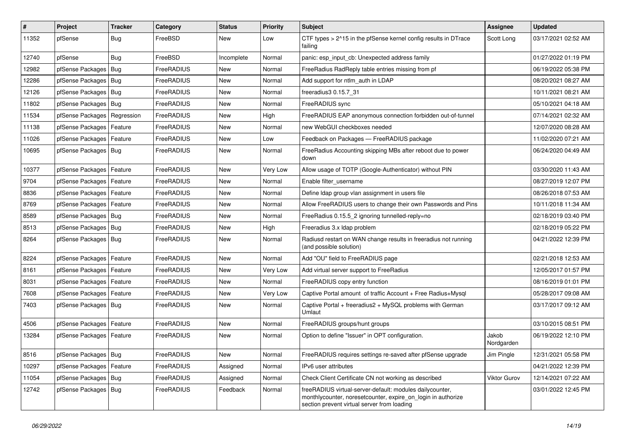| $\vert$ # | Project                    | <b>Tracker</b> | Category   | <b>Status</b> | <b>Priority</b> | <b>Subject</b>                                                                                                                                                          | Assignee            | <b>Updated</b>      |
|-----------|----------------------------|----------------|------------|---------------|-----------------|-------------------------------------------------------------------------------------------------------------------------------------------------------------------------|---------------------|---------------------|
| 11352     | pfSense                    | <b>Bug</b>     | FreeBSD    | New           | Low             | CTF types > 2^15 in the pfSense kernel config results in DTrace<br>failing                                                                                              | Scott Long          | 03/17/2021 02:52 AM |
| 12740     | pfSense                    | Bug            | FreeBSD    | Incomplete    | Normal          | panic: esp input cb: Unexpected address family                                                                                                                          |                     | 01/27/2022 01:19 PM |
| 12982     | pfSense Packages           | Bug            | FreeRADIUS | New           | Normal          | FreeRadius RadReply table entries missing from pf                                                                                                                       |                     | 06/19/2022 05:38 PM |
| 12286     | pfSense Packages           | Bug            | FreeRADIUS | New           | Normal          | Add support for ntlm_auth in LDAP                                                                                                                                       |                     | 08/20/2021 08:27 AM |
| 12126     | pfSense Packages           | Bug            | FreeRADIUS | New           | Normal          | freeradius3 0.15.7 31                                                                                                                                                   |                     | 10/11/2021 08:21 AM |
| 11802     | pfSense Packages   Bug     |                | FreeRADIUS | New           | Normal          | FreeRADIUS sync                                                                                                                                                         |                     | 05/10/2021 04:18 AM |
| 11534     | pfSense Packages           | Regression     | FreeRADIUS | New           | High            | FreeRADIUS EAP anonymous connection forbidden out-of-tunnel                                                                                                             |                     | 07/14/2021 02:32 AM |
| 11138     | pfSense Packages           | Feature        | FreeRADIUS | New           | Normal          | new WebGUI checkboxes needed                                                                                                                                            |                     | 12/07/2020 08:28 AM |
| 11026     | pfSense Packages           | Feature        | FreeRADIUS | New           | Low             | Feedback on Packages - FreeRADIUS package                                                                                                                               |                     | 11/02/2020 07:21 AM |
| 10695     | pfSense Packages           | Bug            | FreeRADIUS | New           | Normal          | FreeRadius Accounting skipping MBs after reboot due to power<br>down                                                                                                    |                     | 06/24/2020 04:49 AM |
| 10377     | pfSense Packages           | Feature        | FreeRADIUS | New           | Very Low        | Allow usage of TOTP (Google-Authenticator) without PIN                                                                                                                  |                     | 03/30/2020 11:43 AM |
| 9704      | pfSense Packages           | Feature        | FreeRADIUS | New           | Normal          | Enable filter username                                                                                                                                                  |                     | 08/27/2019 12:07 PM |
| 8836      | pfSense Packages           | Feature        | FreeRADIUS | New           | Normal          | Define Idap group vlan assignment in users file                                                                                                                         |                     | 08/26/2018 07:53 AM |
| 8769      | pfSense Packages           | Feature        | FreeRADIUS | New           | Normal          | Allow FreeRADIUS users to change their own Passwords and Pins                                                                                                           |                     | 10/11/2018 11:34 AM |
| 8589      | pfSense Packages   Bug     |                | FreeRADIUS | New           | Normal          | FreeRadius 0.15.5 2 ignoring tunnelled-reply=no                                                                                                                         |                     | 02/18/2019 03:40 PM |
| 8513      | pfSense Packages           | <b>Bug</b>     | FreeRADIUS | New           | High            | Freeradius 3.x Idap problem                                                                                                                                             |                     | 02/18/2019 05:22 PM |
| 8264      | pfSense Packages   Bug     |                | FreeRADIUS | New           | Normal          | Radiusd restart on WAN change results in freeradius not running<br>(and possible solution)                                                                              |                     | 04/21/2022 12:39 PM |
| 8224      | pfSense Packages           | Feature        | FreeRADIUS | New           | Normal          | Add "OU" field to FreeRADIUS page                                                                                                                                       |                     | 02/21/2018 12:53 AM |
| 8161      | pfSense Packages           | Feature        | FreeRADIUS | New           | Very Low        | Add virtual server support to FreeRadius                                                                                                                                |                     | 12/05/2017 01:57 PM |
| 8031      | pfSense Packages           | Feature        | FreeRADIUS | New           | Normal          | FreeRADIUS copy entry function                                                                                                                                          |                     | 08/16/2019 01:01 PM |
| 7608      | pfSense Packages           | Feature        | FreeRADIUS | New           | Very Low        | Captive Portal amount of traffic Account + Free Radius+Mysql                                                                                                            |                     | 05/28/2017 09:08 AM |
| 7403      | pfSense Packages   Bug     |                | FreeRADIUS | New           | Normal          | Captive Portal + freeradius2 + MySQL problems with German<br>Umlaut                                                                                                     |                     | 03/17/2017 09:12 AM |
| 4506      | pfSense Packages           | Feature        | FreeRADIUS | New           | Normal          | FreeRADIUS groups/hunt groups                                                                                                                                           |                     | 03/10/2015 08:51 PM |
| 13284     | pfSense Packages   Feature |                | FreeRADIUS | New           | Normal          | Option to define "Issuer" in OPT configuration.                                                                                                                         | Jakob<br>Nordgarden | 06/19/2022 12:10 PM |
| 8516      | pfSense Packages   Bug     |                | FreeRADIUS | New           | Normal          | FreeRADIUS requires settings re-saved after pfSense upgrade                                                                                                             | Jim Pingle          | 12/31/2021 05:58 PM |
| 10297     | pfSense Packages           | Feature        | FreeRADIUS | Assigned      | Normal          | IPv6 user attributes                                                                                                                                                    |                     | 04/21/2022 12:39 PM |
| 11054     | pfSense Packages   Bug     |                | FreeRADIUS | Assigned      | Normal          | Check Client Certificate CN not working as described                                                                                                                    | Viktor Gurov        | 12/14/2021 07:22 AM |
| 12742     | pfSense Packages   Bug     |                | FreeRADIUS | Feedback      | Normal          | freeRADIUS virtual-server-default: modules dailycounter,<br>monthlycounter, noresetcounter, expire_on_login in authorize<br>section prevent virtual server from loading |                     | 03/01/2022 12:45 PM |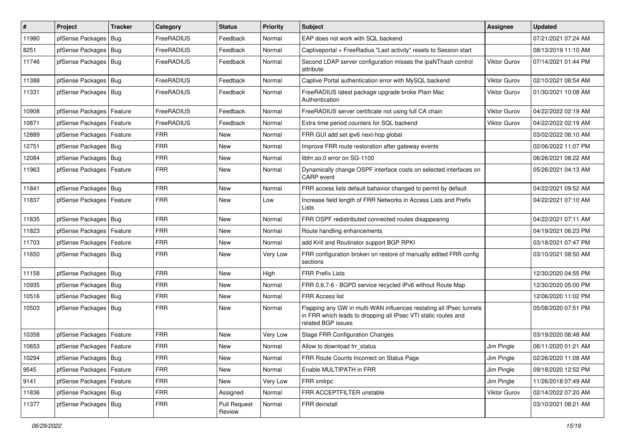| $\vert$ # | Project                    | <b>Tracker</b> | Category   | <b>Status</b>                 | <b>Priority</b> | <b>Subject</b>                                                                                                                                              | Assignee            | <b>Updated</b>      |
|-----------|----------------------------|----------------|------------|-------------------------------|-----------------|-------------------------------------------------------------------------------------------------------------------------------------------------------------|---------------------|---------------------|
| 11980     | pfSense Packages           | Bug            | FreeRADIUS | Feedback                      | Normal          | EAP does not work with SQL backend                                                                                                                          |                     | 07/21/2021 07:24 AM |
| 8251      | pfSense Packages   Bug     |                | FreeRADIUS | Feedback                      | Normal          | Captiveportal + FreeRadius "Last activity" resets to Session start                                                                                          |                     | 08/13/2019 11:10 AM |
| 11746     | pfSense Packages   Bug     |                | FreeRADIUS | Feedback                      | Normal          | Second LDAP server configuration misses the ipaNThash control<br>attribute                                                                                  | Viktor Gurov        | 07/14/2021 01:44 PM |
| 11388     | pfSense Packages   Bug     |                | FreeRADIUS | Feedback                      | Normal          | Captive Portal authentication error with MySQL backend                                                                                                      | <b>Viktor Gurov</b> | 02/10/2021 08:54 AM |
| 11331     | pfSense Packages   Bug     |                | FreeRADIUS | Feedback                      | Normal          | FreeRADIUS latest package upgrade broke Plain Mac<br>Authentication                                                                                         | <b>Viktor Gurov</b> | 01/30/2021 10:08 AM |
| 10908     | pfSense Packages           | Feature        | FreeRADIUS | Feedback                      | Normal          | FreeRADIUS server certificate not using full CA chain                                                                                                       | Viktor Gurov        | 04/22/2022 02:19 AM |
| 10871     | pfSense Packages   Feature |                | FreeRADIUS | Feedback                      | Normal          | Extra time period counters for SQL backend                                                                                                                  | <b>Viktor Gurov</b> | 04/22/2022 02:19 AM |
| 12889     | pfSense Packages   Feature |                | <b>FRR</b> | <b>New</b>                    | Normal          | FRR GUI add set ipv6 next-hop global                                                                                                                        |                     | 03/02/2022 06:10 AM |
| 12751     | pfSense Packages   Bug     |                | <b>FRR</b> | New                           | Normal          | Improve FRR route restoration after gateway events                                                                                                          |                     | 02/06/2022 11:07 PM |
| 12084     | pfSense Packages   Bug     |                | <b>FRR</b> | New                           | Normal          | libfrr.so.0 error on SG-1100                                                                                                                                |                     | 06/26/2021 08:22 AM |
| 11963     | pfSense Packages   Feature |                | <b>FRR</b> | New                           | Normal          | Dynamically change OSPF interface costs on selected interfaces on<br>CARP event                                                                             |                     | 05/26/2021 04:13 AM |
| 11841     | pfSense Packages   Bug     |                | <b>FRR</b> | <b>New</b>                    | Normal          | FRR access lists default bahavior changed to permit by default                                                                                              |                     | 04/22/2021 09:52 AM |
| 11837     | pfSense Packages   Feature |                | <b>FRR</b> | <b>New</b>                    | Low             | Increase field length of FRR Networks in Access Lists and Prefix<br>Lists                                                                                   |                     | 04/22/2021 07:10 AM |
| 11835     | pfSense Packages   Bug     |                | <b>FRR</b> | <b>New</b>                    | Normal          | FRR OSPF redistributed connected routes disappearing                                                                                                        |                     | 04/22/2021 07:11 AM |
| 11823     | pfSense Packages   Feature |                | <b>FRR</b> | New                           | Normal          | Route handling enhancements                                                                                                                                 |                     | 04/19/2021 06:23 PM |
| 11703     | pfSense Packages   Feature |                | <b>FRR</b> | <b>New</b>                    | Normal          | add Krill and Routinator support BGP RPKI                                                                                                                   |                     | 03/18/2021 07:47 PM |
| 11650     | pfSense Packages   Bug     |                | <b>FRR</b> | <b>New</b>                    | Very Low        | FRR configuration broken on restore of manually edited FRR config<br>sections                                                                               |                     | 03/10/2021 08:50 AM |
| 11158     | pfSense Packages   Bug     |                | <b>FRR</b> | <b>New</b>                    | High            | <b>FRR Prefix Lists</b>                                                                                                                                     |                     | 12/30/2020 04:55 PM |
| 10935     | pfSense Packages           | Bug            | <b>FRR</b> | <b>New</b>                    | Normal          | FRR 0.6.7-6 - BGPD service recycled IPv6 without Route Map                                                                                                  |                     | 12/30/2020 05:00 PM |
| 10516     | pfSense Packages   Bug     |                | <b>FRR</b> | <b>New</b>                    | Normal          | <b>FRR Access list</b>                                                                                                                                      |                     | 12/06/2020 11:02 PM |
| 10503     | pfSense Packages   Bug     |                | <b>FRR</b> | <b>New</b>                    | Normal          | Flapping any GW in multi-WAN influences restating all IPsec tunnels<br>in FRR which leads to dropping all IPsec VTI static routes and<br>related BGP issues |                     | 05/08/2020 07:51 PM |
| 10358     | pfSense Packages           | Feature        | <b>FRR</b> | <b>New</b>                    | Very Low        | <b>Stage FRR Configuration Changes</b>                                                                                                                      |                     | 03/19/2020 06:48 AM |
| 10653     | pfSense Packages   Feature |                | <b>FRR</b> | New                           | Normal          | Allow to download frr status                                                                                                                                | Jim Pingle          | 06/11/2020 01:21 AM |
| 10294     | pfSense Packages   Bug     |                | <b>FRR</b> | New                           | Normal          | FRR Route Counts Incorrect on Status Page                                                                                                                   | Jim Pingle          | 02/26/2020 11:08 AM |
| 9545      | pfSense Packages   Feature |                | <b>FRR</b> | New                           | Normal          | Enable MULTIPATH in FRR                                                                                                                                     | Jim Pingle          | 09/18/2020 12:52 PM |
| 9141      | pfSense Packages   Feature |                | <b>FRR</b> | New                           | Very Low        | FRR xmlrpc                                                                                                                                                  | Jim Pingle          | 11/26/2018 07:49 AM |
| 11836     | pfSense Packages   Bug     |                | <b>FRR</b> | Assigned                      | Normal          | FRR ACCEPTFILTER unstable                                                                                                                                   | Viktor Gurov        | 02/14/2022 07:20 AM |
| 11377     | pfSense Packages   Bug     |                | <b>FRR</b> | <b>Pull Request</b><br>Review | Normal          | FRR deinstall                                                                                                                                               |                     | 03/10/2021 08:21 AM |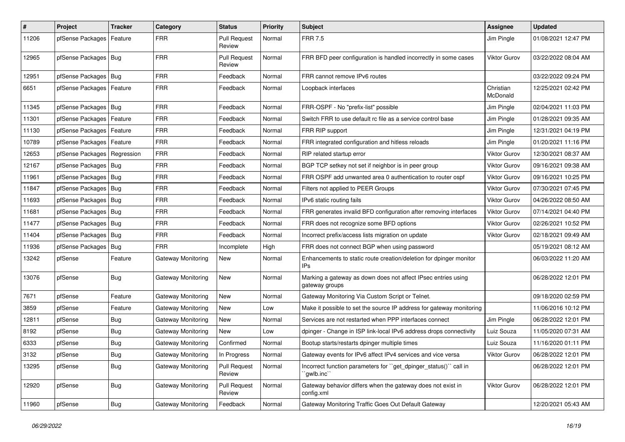| #     | Project                       | <b>Tracker</b> | Category                  | <b>Status</b>                 | <b>Priority</b> | <b>Subject</b>                                                                  | <b>Assignee</b>       | <b>Updated</b>      |
|-------|-------------------------------|----------------|---------------------------|-------------------------------|-----------------|---------------------------------------------------------------------------------|-----------------------|---------------------|
| 11206 | pfSense Packages   Feature    |                | FRR                       | <b>Pull Request</b><br>Review | Normal          | <b>FRR 7.5</b>                                                                  | Jim Pingle            | 01/08/2021 12:47 PM |
| 12965 | pfSense Packages   Bug        |                | <b>FRR</b>                | <b>Pull Request</b><br>Review | Normal          | FRR BFD peer configuration is handled incorrectly in some cases                 | <b>Viktor Gurov</b>   | 03/22/2022 08:04 AM |
| 12951 | pfSense Packages   Bug        |                | <b>FRR</b>                | Feedback                      | Normal          | FRR cannot remove IPv6 routes                                                   |                       | 03/22/2022 09:24 PM |
| 6651  | pfSense Packages   Feature    |                | <b>FRR</b>                | Feedback                      | Normal          | Loopback interfaces                                                             | Christian<br>McDonald | 12/25/2021 02:42 PM |
| 11345 | pfSense Packages   Bug        |                | FRR                       | Feedback                      | Normal          | FRR-OSPF - No "prefix-list" possible                                            | Jim Pingle            | 02/04/2021 11:03 PM |
| 11301 | pfSense Packages   Feature    |                | <b>FRR</b>                | Feedback                      | Normal          | Switch FRR to use default rc file as a service control base                     | Jim Pingle            | 01/28/2021 09:35 AM |
| 11130 | pfSense Packages   Feature    |                | <b>FRR</b>                | Feedback                      | Normal          | FRR RIP support                                                                 | Jim Pingle            | 12/31/2021 04:19 PM |
| 10789 | pfSense Packages   Feature    |                | <b>FRR</b>                | Feedback                      | Normal          | FRR integrated configuration and hitless reloads                                | Jim Pingle            | 01/20/2021 11:16 PM |
| 12653 | pfSense Packages   Regression |                | <b>FRR</b>                | Feedback                      | Normal          | RIP related startup error                                                       | Viktor Gurov          | 12/30/2021 08:37 AM |
| 12167 | pfSense Packages   Bug        |                | <b>FRR</b>                | Feedback                      | Normal          | BGP TCP setkey not set if neighbor is in peer group                             | <b>Viktor Gurov</b>   | 09/16/2021 09:38 AM |
| 11961 | pfSense Packages   Bug        |                | <b>FRR</b>                | Feedback                      | Normal          | FRR OSPF add unwanted area 0 authentication to router ospf                      | Viktor Gurov          | 09/16/2021 10:25 PM |
| 11847 | pfSense Packages   Bug        |                | <b>FRR</b>                | Feedback                      | Normal          | Filters not applied to PEER Groups                                              | <b>Viktor Gurov</b>   | 07/30/2021 07:45 PM |
| 11693 | pfSense Packages   Bug        |                | <b>FRR</b>                | Feedback                      | Normal          | IPv6 static routing fails                                                       | Viktor Gurov          | 04/26/2022 08:50 AM |
| 11681 | pfSense Packages   Bug        |                | <b>FRR</b>                | Feedback                      | Normal          | FRR generates invalid BFD configuration after removing interfaces               | Viktor Gurov          | 07/14/2021 04:40 PM |
| 11477 | pfSense Packages   Bug        |                | <b>FRR</b>                | Feedback                      | Normal          | FRR does not recognize some BFD options                                         | Viktor Gurov          | 02/26/2021 10:52 PM |
| 11404 | pfSense Packages   Bug        |                | <b>FRR</b>                | Feedback                      | Normal          | Incorrect prefix/access lists migration on update                               | Viktor Gurov          | 02/18/2021 09:49 AM |
| 11936 | pfSense Packages   Bug        |                | FRR                       | Incomplete                    | High            | FRR does not connect BGP when using password                                    |                       | 05/19/2021 08:12 AM |
| 13242 | pfSense                       | Feature        | Gateway Monitoring        | New                           | Normal          | Enhancements to static route creation/deletion for dpinger monitor<br>IPs       |                       | 06/03/2022 11:20 AM |
| 13076 | pfSense                       | <b>Bug</b>     | Gateway Monitoring        | New                           | Normal          | Marking a gateway as down does not affect IPsec entries using<br>gateway groups |                       | 06/28/2022 12:01 PM |
| 7671  | pfSense                       | Feature        | Gateway Monitoring        | <b>New</b>                    | Normal          | Gateway Monitoring Via Custom Script or Telnet.                                 |                       | 09/18/2020 02:59 PM |
| 3859  | pfSense                       | Feature        | Gateway Monitoring        | New                           | Low             | Make it possible to set the source IP address for gateway monitoring            |                       | 11/06/2016 10:12 PM |
| 12811 | pfSense                       | Bug            | <b>Gateway Monitoring</b> | New                           | Normal          | Services are not restarted when PPP interfaces connect                          | Jim Pingle            | 06/28/2022 12:01 PM |
| 8192  | pfSense                       | <b>Bug</b>     | Gateway Monitoring        | <b>New</b>                    | Low             | dpinger - Change in ISP link-local IPv6 address drops connectivity              | Luiz Souza            | 11/05/2020 07:31 AM |
| 6333  | pfSense                       | <b>Bug</b>     | <b>Gateway Monitoring</b> | Confirmed                     | Normal          | Bootup starts/restarts dpinger multiple times                                   | Luiz Souza            | 11/16/2020 01:11 PM |
| 3132  | pfSense                       | <b>Bug</b>     | Gateway Monitoring        | In Progress                   | Normal          | Gateway events for IPv6 affect IPv4 services and vice versa                     | Viktor Gurov          | 06/28/2022 12:01 PM |
| 13295 | pfSense                       | Bug            | Gateway Monitoring        | <b>Pull Request</b><br>Review | Normal          | Incorrect function parameters for "get_dpinger_status()" call in<br>`gwlb.inc`` |                       | 06/28/2022 12:01 PM |
| 12920 | pfSense                       | <b>Bug</b>     | Gateway Monitoring        | <b>Pull Request</b><br>Review | Normal          | Gateway behavior differs when the gateway does not exist in<br>config.xml       | Viktor Gurov          | 06/28/2022 12:01 PM |
| 11960 | pfSense                       | <b>Bug</b>     | <b>Gateway Monitoring</b> | Feedback                      | Normal          | Gateway Monitoring Traffic Goes Out Default Gateway                             |                       | 12/20/2021 05:43 AM |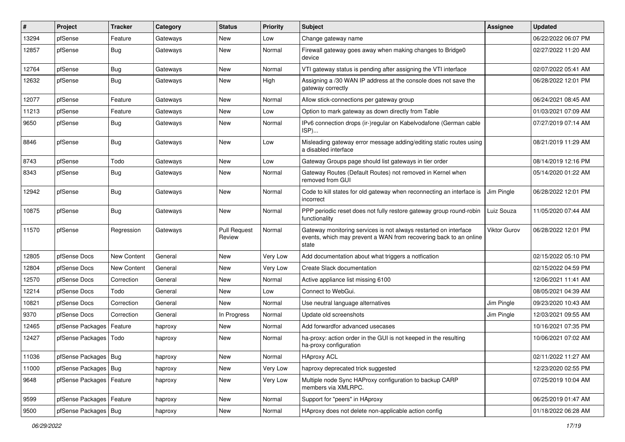| ∦     | Project                    | <b>Tracker</b> | Category | <b>Status</b>                 | <b>Priority</b> | Subject                                                                                                                                        | Assignee            | <b>Updated</b>      |
|-------|----------------------------|----------------|----------|-------------------------------|-----------------|------------------------------------------------------------------------------------------------------------------------------------------------|---------------------|---------------------|
| 13294 | pfSense                    | Feature        | Gateways | New                           | Low             | Change gateway name                                                                                                                            |                     | 06/22/2022 06:07 PM |
| 12857 | pfSense                    | <b>Bug</b>     | Gateways | New                           | Normal          | Firewall gateway goes away when making changes to Bridge0<br>device                                                                            |                     | 02/27/2022 11:20 AM |
| 12764 | pfSense                    | <b>Bug</b>     | Gateways | New                           | Normal          | VTI gateway status is pending after assigning the VTI interface                                                                                |                     | 02/07/2022 05:41 AM |
| 12632 | pfSense                    | Bug            | Gateways | New                           | High            | Assigning a /30 WAN IP address at the console does not save the<br>gateway correctly                                                           |                     | 06/28/2022 12:01 PM |
| 12077 | pfSense                    | Feature        | Gateways | New                           | Normal          | Allow stick-connections per gateway group                                                                                                      |                     | 06/24/2021 08:45 AM |
| 11213 | pfSense                    | Feature        | Gateways | New                           | Low             | Option to mark gateway as down directly from Table                                                                                             |                     | 01/03/2021 07:09 AM |
| 9650  | pfSense                    | Bug            | Gateways | New                           | Normal          | IPv6 connection drops (ir-)regular on Kabelvodafone (German cable<br>ISP)                                                                      |                     | 07/27/2019 07:14 AM |
| 8846  | pfSense                    | Bug            | Gateways | New                           | Low             | Misleading gateway error message adding/editing static routes using<br>a disabled interface                                                    |                     | 08/21/2019 11:29 AM |
| 8743  | pfSense                    | Todo           | Gateways | New                           | Low             | Gateway Groups page should list gateways in tier order                                                                                         |                     | 08/14/2019 12:16 PM |
| 8343  | pfSense                    | <b>Bug</b>     | Gateways | New                           | Normal          | Gateway Routes (Default Routes) not removed in Kernel when<br>removed from GUI                                                                 |                     | 05/14/2020 01:22 AM |
| 12942 | pfSense                    | <b>Bug</b>     | Gateways | New                           | Normal          | Code to kill states for old gateway when reconnecting an interface is<br>incorrect                                                             | Jim Pingle          | 06/28/2022 12:01 PM |
| 10875 | pfSense                    | <b>Bug</b>     | Gateways | <b>New</b>                    | Normal          | PPP periodic reset does not fully restore gateway group round-robin<br>functionality                                                           | Luiz Souza          | 11/05/2020 07:44 AM |
| 11570 | pfSense                    | Regression     | Gateways | <b>Pull Request</b><br>Review | Normal          | Gateway monitoring services is not always restarted on interface<br>events, which may prevent a WAN from recovering back to an online<br>state | <b>Viktor Gurov</b> | 06/28/2022 12:01 PM |
| 12805 | pfSense Docs               | New Content    | General  | <b>New</b>                    | Very Low        | Add documentation about what triggers a notfication                                                                                            |                     | 02/15/2022 05:10 PM |
| 12804 | pfSense Docs               | New Content    | General  | New                           | Very Low        | Create Slack documentation                                                                                                                     |                     | 02/15/2022 04:59 PM |
| 12570 | pfSense Docs               | Correction     | General  | <b>New</b>                    | Normal          | Active appliance list missing 6100                                                                                                             |                     | 12/06/2021 11:41 AM |
| 12214 | pfSense Docs               | Todo           | General  | New                           | Low             | Connect to WebGui.                                                                                                                             |                     | 08/05/2021 04:39 AM |
| 10821 | pfSense Docs               | Correction     | General  | <b>New</b>                    | Normal          | Use neutral language alternatives                                                                                                              | Jim Pingle          | 09/23/2020 10:43 AM |
| 9370  | pfSense Docs               | Correction     | General  | In Progress                   | Normal          | Update old screenshots                                                                                                                         | Jim Pingle          | 12/03/2021 09:55 AM |
| 12465 | pfSense Packages           | Feature        | haproxy  | New                           | Normal          | Add forwardfor advanced usecases                                                                                                               |                     | 10/16/2021 07:35 PM |
| 12427 | pfSense Packages           | Todo           | haproxy  | New                           | Normal          | ha-proxy: action order in the GUI is not keeped in the resulting<br>ha-proxy configuration                                                     |                     | 10/06/2021 07:02 AM |
| 11036 | pfSense Packages   Bug     |                | haproxy  | New                           | Normal          | <b>HAproxy ACL</b>                                                                                                                             |                     | 02/11/2022 11:27 AM |
| 11000 | pfSense Packages   Bug     |                | haproxy  | New                           | Very Low        | haproxy deprecated trick suggested                                                                                                             |                     | 12/23/2020 02:55 PM |
| 9648  | pfSense Packages   Feature |                | haproxy  | New                           | Very Low        | Multiple node Sync HAProxy configuration to backup CARP<br>members via XMLRPC.                                                                 |                     | 07/25/2019 10:04 AM |
| 9599  | pfSense Packages           | Feature        | haproxy  | New                           | Normal          | Support for "peers" in HAproxy                                                                                                                 |                     | 06/25/2019 01:47 AM |
| 9500  | pfSense Packages           | Bug            | haproxy  | New                           | Normal          | HAproxy does not delete non-applicable action config                                                                                           |                     | 01/18/2022 06:28 AM |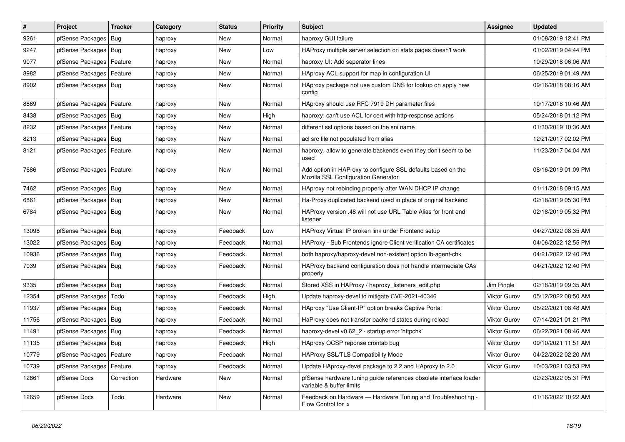| $\vert$ # | Project                | <b>Tracker</b> | Category | <b>Status</b> | <b>Priority</b> | <b>Subject</b>                                                                                      | <b>Assignee</b>     | <b>Updated</b>      |
|-----------|------------------------|----------------|----------|---------------|-----------------|-----------------------------------------------------------------------------------------------------|---------------------|---------------------|
| 9261      | pfSense Packages       | Bug            | haproxy  | <b>New</b>    | Normal          | haproxy GUI failure                                                                                 |                     | 01/08/2019 12:41 PM |
| 9247      | pfSense Packages       | Bug            | haproxy  | <b>New</b>    | Low             | HAProxy multiple server selection on stats pages doesn't work                                       |                     | 01/02/2019 04:44 PM |
| 9077      | pfSense Packages       | Feature        | haproxy  | New           | Normal          | haproxy UI: Add seperator lines                                                                     |                     | 10/29/2018 06:06 AM |
| 8982      | pfSense Packages       | Feature        | haproxy  | New           | Normal          | HAproxy ACL support for map in configuration UI                                                     |                     | 06/25/2019 01:49 AM |
| 8902      | pfSense Packages       | Bug            | haproxy  | New           | Normal          | HAproxy package not use custom DNS for lookup on apply new<br>config                                |                     | 09/16/2018 08:16 AM |
| 8869      | pfSense Packages       | Feature        | haproxy  | <b>New</b>    | Normal          | HAproxy should use RFC 7919 DH parameter files                                                      |                     | 10/17/2018 10:46 AM |
| 8438      | pfSense Packages       | Bug            | haproxy  | <b>New</b>    | High            | haproxy: can't use ACL for cert with http-response actions                                          |                     | 05/24/2018 01:12 PM |
| 8232      | pfSense Packages       | Feature        | haproxy  | New           | Normal          | different ssl options based on the sni name                                                         |                     | 01/30/2019 10:36 AM |
| 8213      | pfSense Packages       | Bug            | haproxy  | New           | Normal          | acl src file not populated from alias                                                               |                     | 12/21/2017 02:02 PM |
| 8121      | pfSense Packages       | Feature        | haproxy  | New           | Normal          | haproxy, allow to generate backends even they don't seem to be<br>used                              |                     | 11/23/2017 04:04 AM |
| 7686      | pfSense Packages       | Feature        | haproxy  | <b>New</b>    | Normal          | Add option in HAProxy to configure SSL defaults based on the<br>Mozilla SSL Configuration Generator |                     | 08/16/2019 01:09 PM |
| 7462      | pfSense Packages       | Bug            | haproxy  | <b>New</b>    | Normal          | HAproxy not rebinding properly after WAN DHCP IP change                                             |                     | 01/11/2018 09:15 AM |
| 6861      | pfSense Packages       | Bug            | haproxy  | New           | Normal          | Ha-Proxy duplicated backend used in place of original backend                                       |                     | 02/18/2019 05:30 PM |
| 6784      | pfSense Packages   Bug |                | haproxy  | <b>New</b>    | Normal          | HAProxy version .48 will not use URL Table Alias for front end<br>listener                          |                     | 02/18/2019 05:32 PM |
| 13098     | pfSense Packages       | Bug            | haproxy  | Feedback      | Low             | HAProxy Virtual IP broken link under Frontend setup                                                 |                     | 04/27/2022 08:35 AM |
| 13022     | pfSense Packages   Bug |                | haproxy  | Feedback      | Normal          | HAProxy - Sub Frontends ignore Client verification CA certificates                                  |                     | 04/06/2022 12:55 PM |
| 10936     | pfSense Packages       | l Bug          | haproxy  | Feedback      | Normal          | both haproxy/haproxy-devel non-existent option Ib-agent-chk                                         |                     | 04/21/2022 12:40 PM |
| 7039      | pfSense Packages       | Bug            | haproxy  | Feedback      | Normal          | HAProxy backend configuration does not handle intermediate CAs<br>properly                          |                     | 04/21/2022 12:40 PM |
| 9335      | pfSense Packages   Bug |                | haproxy  | Feedback      | Normal          | Stored XSS in HAProxy / haproxy listeners edit.php                                                  | Jim Pingle          | 02/18/2019 09:35 AM |
| 12354     | pfSense Packages       | Todo           | haproxy  | Feedback      | High            | Update haproxy-devel to mitigate CVE-2021-40346                                                     | <b>Viktor Gurov</b> | 05/12/2022 08:50 AM |
| 11937     | pfSense Packages       | Bug            | haproxy  | Feedback      | Normal          | HAproxy "Use Client-IP" option breaks Captive Portal                                                | <b>Viktor Gurov</b> | 06/22/2021 08:48 AM |
| 11756     | pfSense Packages       | Bug            | haproxy  | Feedback      | Normal          | HaProxy does not transfer backend states during reload                                              | <b>Viktor Gurov</b> | 07/14/2021 01:21 PM |
| 11491     | pfSense Packages       | Bug            | haproxy  | Feedback      | Normal          | haproxy-devel v0.62 2 - startup error 'httpchk'                                                     | <b>Viktor Gurov</b> | 06/22/2021 08:46 AM |
| 11135     | pfSense Packages       | Bug            | haproxy  | Feedback      | High            | HAproxy OCSP reponse crontab bug                                                                    | <b>Viktor Gurov</b> | 09/10/2021 11:51 AM |
| 10779     | pfSense Packages       | Feature        | haproxy  | Feedback      | Normal          | <b>HAProxy SSL/TLS Compatibility Mode</b>                                                           | <b>Viktor Gurov</b> | 04/22/2022 02:20 AM |
| 10739     | pfSense Packages       | Feature        | haproxy  | Feedback      | Normal          | Update HAproxy-devel package to 2.2 and HAproxy to 2.0                                              | <b>Viktor Gurov</b> | 10/03/2021 03:53 PM |
| 12861     | pfSense Docs           | Correction     | Hardware | <b>New</b>    | Normal          | pfSense hardware tuning guide references obsolete interface loader<br>variable & buffer limits      |                     | 02/23/2022 05:31 PM |
| 12659     | pfSense Docs           | Todo           | Hardware | <b>New</b>    | Normal          | Feedback on Hardware - Hardware Tuning and Troubleshooting -<br>Flow Control for ix                 |                     | 01/16/2022 10:22 AM |